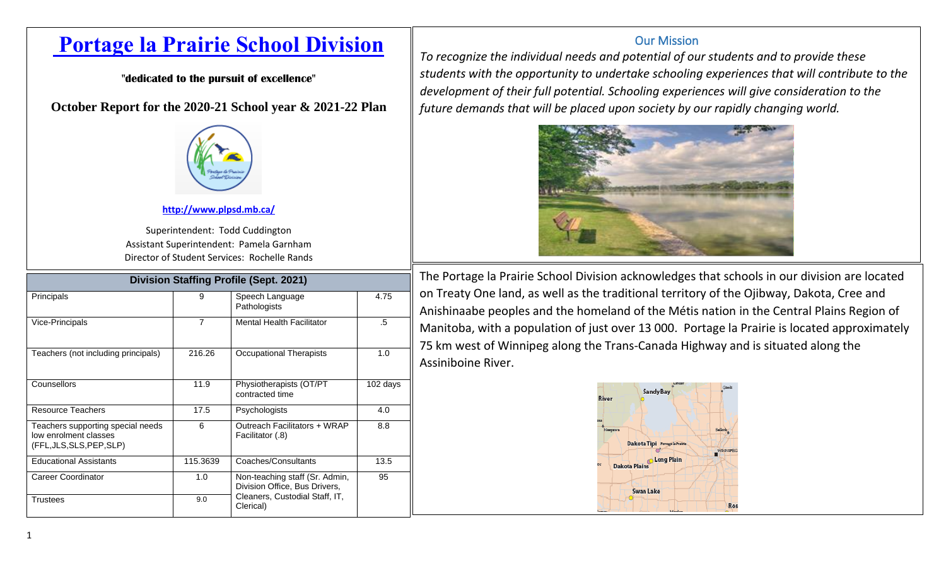# **[Portage la Prairie](http://www.plpsd.mb.ca/) School Division**

**"dedicated to the pursuit of excellence"**

**October Report for the 2020-21 School year & 2021-22 Plan**



### **<http://www.plpsd.mb.ca/>**

Superintendent: Todd Cuddington Assistant Superintendent: Pamela Garnham Director of Student Services: Rochelle Rands

| <b>Division Staffing Profile (Sept. 2021)</b>                                           |                |                                                                 |            |  |  |  |  |  |  |  |
|-----------------------------------------------------------------------------------------|----------------|-----------------------------------------------------------------|------------|--|--|--|--|--|--|--|
| Principals                                                                              | 9              | Speech Language<br>Pathologists                                 | 4.75       |  |  |  |  |  |  |  |
| Vice-Principals                                                                         | $\overline{7}$ | <b>Mental Health Facilitator</b>                                | $.5\,$     |  |  |  |  |  |  |  |
| Teachers (not including principals)                                                     | 216.26         | Occupational Therapists                                         | 1.0        |  |  |  |  |  |  |  |
| Counsellors                                                                             | 11.9           | Physiotherapists (OT/PT<br>contracted time                      | $102$ days |  |  |  |  |  |  |  |
| <b>Resource Teachers</b>                                                                | 17.5           | Psychologists                                                   | 4.0        |  |  |  |  |  |  |  |
| Teachers supporting special needs<br>low enrolment classes<br>(FFL, JLS, SLS, PEP, SLP) | 6              | Outreach Facilitators + WRAP<br>Facilitator (.8)                | 8.8        |  |  |  |  |  |  |  |
| <b>Educational Assistants</b>                                                           | 115.3639       | Coaches/Consultants                                             | 13.5       |  |  |  |  |  |  |  |
| Career Coordinator                                                                      | 1.0            | Non-teaching staff (Sr. Admin,<br>Division Office, Bus Drivers, | 95         |  |  |  |  |  |  |  |
| <b>Trustees</b>                                                                         | 9.0            | Cleaners, Custodial Staff, IT,<br>Clerical)                     |            |  |  |  |  |  |  |  |

## Our Mission

*To recognize the individual needs and potential of our students and to provide these students with the opportunity to undertake schooling experiences that will contribute to the development of their full potential. Schooling experiences will give consideration to the future demands that will be placed upon society by our rapidly changing world.*



The Portage la Prairie School Division acknowledges that schools in our division are located on Treaty One land, as well as the traditional territory of the Ojibway, Dakota, Cree and Anishinaabe peoples and the homeland of the Métis nation in the Central Plains Region of Manitoba, with a population of just over 13 000. Portage la Prairie is located approximately 75 km west of Winnipeg along the Trans-Canada Highway and is situated along the Assiniboine River.

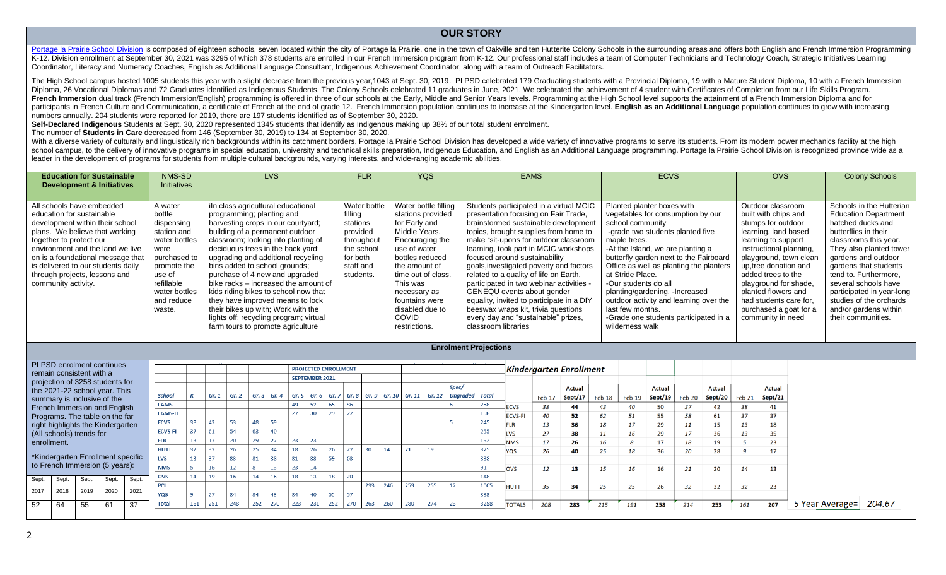#### **OUR STORY**

[Portage la Prairie School Division](http://www.plpsd.mb.ca/) is composed of eighteen schools, seven located within the city of Portage la Prairie, one in the town of Oakyille and ten Hutterite Colony Schools in the surrounding areas and offers both K-12. Division enrollment at September 30, 2021 was 3295 of which 378 students are enrolled in our French Immersion program from K-12. Our professional staff includes a team of Computer Technicians and Technology Coach, St Coordinator, Literacy and Numeracy Coaches, English as Additional Language Consultant, Indigenous Achievement Coordinator, along with a team of Outreach Facilitators.

The High School campus hosted 1005 students this year with a slight decrease from the previous year, 1043 at Sept. 30, 2019. PLPSD celebrated 179 Graduating students with a Provincial Diploma, 19 with a Mature Student Dipl Diploma, 26 Vocational Diplomas and 72 Graduates identified as Indigenous Students. The Colony Schools celebrated 11 graduates in June, 2021. We celebrated the achievement of 4 student with Certificates of Completion from French Immersion dual track (French Immersion/English) programming is offered in three of our schools at the Early, Middle and Senior Years levels. Programming at the High School level supports the attainment of a French I participants in French Culture and Communication, a certificate of French at the end of grade 12. French Immersion population continues to increase at the Kindergarten level. English as an Additional Language population co numbers annually. 204 students were reported for 2019, there are 197 students identified as of September 30, 2020.

**Self-Declared Indigenous** Students at Sept. 30, 2020 represented 1345 students that identify as Indigenous making up 38% of our total student enrolment.

The number of **Students in Care** decreased from 146 (September 30, 2019) to 134 at September 30, 2020.

With a diverse variety of culturally and linguistically rich backgrounds within its catchment borders, Portage la Prairie School Division has developed a wide variety of innovative programs to serve its students. From its school campus, to the delivery of innovative programs in special education, university and technical skills preparation, Indigenous Education, and English as an Additional Language programming. Portage la Prairie School Di leader in the development of programs for students from multiple cultural backgrounds, varying interests, and wide-ranging academic abilities.

| <b>Education for Sustainable</b><br><b>Development &amp; Initiatives</b>                                                                                                                                                                                                                                                      | NMS-SD<br><b>Initiatives</b>                                                                                                                                            | <b>LVS</b>                                                                                                                                                                                                                                                                                                                                                                                                                                                                                                                                                             | <b>FLR</b>                                                                                                        |  | <b>YQS</b>                                                                                                                                                                                                                                                                 | <b>EAMS</b>                                                                                                                                                                                                                                                                                                                                                                                                                                                                                                                                                                                          | <b>ECVS</b>                                                                                                                                                                                                                                                                                                                                                                                                                                                                | <b>OVS</b>                                                                                                                                                                                                                                                                                                                                  | <b>Colony Schools</b>                                                                                                                                                                                                                                                                                                                                            |  |  |
|-------------------------------------------------------------------------------------------------------------------------------------------------------------------------------------------------------------------------------------------------------------------------------------------------------------------------------|-------------------------------------------------------------------------------------------------------------------------------------------------------------------------|------------------------------------------------------------------------------------------------------------------------------------------------------------------------------------------------------------------------------------------------------------------------------------------------------------------------------------------------------------------------------------------------------------------------------------------------------------------------------------------------------------------------------------------------------------------------|-------------------------------------------------------------------------------------------------------------------|--|----------------------------------------------------------------------------------------------------------------------------------------------------------------------------------------------------------------------------------------------------------------------------|------------------------------------------------------------------------------------------------------------------------------------------------------------------------------------------------------------------------------------------------------------------------------------------------------------------------------------------------------------------------------------------------------------------------------------------------------------------------------------------------------------------------------------------------------------------------------------------------------|----------------------------------------------------------------------------------------------------------------------------------------------------------------------------------------------------------------------------------------------------------------------------------------------------------------------------------------------------------------------------------------------------------------------------------------------------------------------------|---------------------------------------------------------------------------------------------------------------------------------------------------------------------------------------------------------------------------------------------------------------------------------------------------------------------------------------------|------------------------------------------------------------------------------------------------------------------------------------------------------------------------------------------------------------------------------------------------------------------------------------------------------------------------------------------------------------------|--|--|
| All schools have embedded<br>education for sustainable<br>development within their school<br>plans. We believe that working<br>together to protect our<br>environment and the land we live<br>on is a foundational message that<br>is delivered to our students daily<br>through projects, lessons and<br>community activity. | A water<br>bottle<br>dispensing<br>station and<br>water bottles<br>were<br>purchased to<br>promote the<br>use of<br>refillable<br>water bottles<br>and reduce<br>waste. | iln class agricultural educational<br>programming; planting and<br>harvesting crops in our courtyard;<br>building of a permanent outdoor<br>classroom; looking into planting of<br>deciduous trees in the back yard;<br>upgrading and additional recycling<br>bins added to school grounds;<br>purchase of 4 new and upgraded<br>bike racks – increased the amount of<br>kids riding bikes to school now that<br>they have improved means to lock<br>their bikes up with; Work with the<br>lights off; recycling program; virtual<br>farm tours to promote agriculture | Water bottle<br>filling<br>stations<br>provided<br>throughout<br>the school<br>for both<br>staff and<br>students. |  | Water bottle filling<br>stations provided<br>for Early and<br>Middle Years.<br>Encouraging the<br>use of water<br>bottles reduced<br>the amount of<br>time out of class.<br>This was<br>necessary as<br>fountains were<br>disabled due to<br><b>COVID</b><br>restrictions. | Students participated in a virtual MCIC<br>presentation focusing on Fair Trade,<br>brainstormed sustainable development<br>topics, brought supplies from home to<br>make "sit-upons for outdoor classroom<br>learning, took part in MCIC workshops<br>focused around sustainability<br>goals, investigated poverty and factors<br>related to a quality of life on Earth,<br>participated in two webinar activities -<br>GENEQU events about gender<br>equality, invited to participate in a DIY<br>beeswax wraps kit, trivia questions<br>every day and "sustainable" prizes,<br>classroom libraries | Planted planter boxes with<br>vegetables for consumption by our<br>school community<br>-grade two students planted five<br>maple trees.<br>-At the Island, we are planting a<br>butterfly garden next to the Fairboard<br>Office as well as planting the planters<br>at Stride Place.<br>-Our students do all<br>planting/gardening. - Increased<br>outdoor activity and learning over the<br>last few months.<br>-Grade one students participated in a<br>wilderness walk | Outdoor classroom<br>built with chips and<br>stumps for outdoor<br>learning, land based<br>learning to support<br>instructional planning.<br>playground, town clean<br>up, tree donation and<br>added trees to the<br>playground for shade,<br>planted flowers and<br>had students care for,<br>purchased a goat for a<br>community in need | Schools in the Hutterian<br><b>Education Department</b><br>hatched ducks and<br>butterflies in their<br>classrooms this year.<br>They also planted tower<br>gardens and outdoor<br>gardens that students<br>tend to. Furthermore.<br>several schools have<br>participated in year-long<br>studies of the orchards<br>and/or gardens within<br>their communities. |  |  |
|                                                                                                                                                                                                                                                                                                                               | <b>Enrolment Projections</b>                                                                                                                                            |                                                                                                                                                                                                                                                                                                                                                                                                                                                                                                                                                                        |                                                                                                                   |  |                                                                                                                                                                                                                                                                            |                                                                                                                                                                                                                                                                                                                                                                                                                                                                                                                                                                                                      |                                                                                                                                                                                                                                                                                                                                                                                                                                                                            |                                                                                                                                                                                                                                                                                                                                             |                                                                                                                                                                                                                                                                                                                                                                  |  |  |
| PLPSD enrolment continues<br>remain consistent with a                                                                                                                                                                                                                                                                         |                                                                                                                                                                         |                                                                                                                                                                                                                                                                                                                                                                                                                                                                                                                                                                        | <b>PROJECTED ENROLLMENT</b><br><b>SEPTEMBER 2021</b>                                                              |  |                                                                                                                                                                                                                                                                            | Kindergarten Enrollment                                                                                                                                                                                                                                                                                                                                                                                                                                                                                                                                                                              |                                                                                                                                                                                                                                                                                                                                                                                                                                                                            |                                                                                                                                                                                                                                                                                                                                             |                                                                                                                                                                                                                                                                                                                                                                  |  |  |

|             |       | remain consistent with a |                                   |       |                |                  |      |       |     |     |     |                       |     |     |     |     |     |     |                                                                                                     |      |                |        | 11111461441 ten Emonitent |          |          |               |        |                    |     |               |                        |  |
|-------------|-------|--------------------------|-----------------------------------|-------|----------------|------------------|------|-------|-----|-----|-----|-----------------------|-----|-----|-----|-----|-----|-----|-----------------------------------------------------------------------------------------------------|------|----------------|--------|---------------------------|----------|----------|---------------|--------|--------------------|-----|---------------|------------------------|--|
|             |       |                          | projection of 3258 students for   |       |                |                  |      |       |     |     |     | <b>SEPTEMBER 2021</b> |     |     |     |     |     |     |                                                                                                     |      |                |        |                           |          |          |               |        |                    |     |               |                        |  |
|             |       |                          | the 2021-22 school year. This     |       |                |                  |      |       |     |     |     |                       |     |     |     |     |     |     | Spec/                                                                                               |      |                |        | <b>Actual</b>             |          |          | <b>Actual</b> |        | <b>Actual</b>      |     | <b>Actual</b> |                        |  |
|             |       |                          | summary is inclusive of the       |       | School         |                  | Gr.1 | Gr. 2 |     |     |     |                       |     |     |     |     |     |     | Gr. 3   Gr. 4   Gr. 5   Gr. 6   Gr. 7   Gr. 8   Gr. 9   Gr. 10   Gr. 11   Gr. 12   Ungraded   Total |      |                | Feb-17 | Sept/17                   | $Feb-18$ | $Feb-19$ | Sept/19       | Feb-20 | Sept/20   $Feb-21$ |     | Sept/21       |                        |  |
|             |       |                          | French Immersion and English      |       | <b>EAMS</b>    |                  |      |       |     |     | 49  |                       |     |     |     |     |     |     |                                                                                                     | 258  | <b>ECVS</b>    | 38     | 44                        |          |          | 50            | 37     | 42                 | 38  | 41            |                        |  |
|             |       |                          | Programs. The table on the far    |       | <b>EAMS-FI</b> |                  |      |       |     |     | 27  |                       |     |     |     |     |     |     |                                                                                                     | 108  | <b>ECVS-FI</b> | 40     | 52                        | 62       | 51       | 55            | 58     | 61                 | 37  | 37            |                        |  |
|             |       |                          | right highlights the Kindergarten |       | <b>ECVS</b>    | 38               |      | co.   | 48  | 59  |     |                       |     |     |     |     |     |     |                                                                                                     | 245  |                | 13     | 36                        | 18       | 17       | 29            | 11     | 15                 | 13  | 18            |                        |  |
|             |       | (All schools) trends for |                                   |       | <b>ECVS-FI</b> |                  |      | cл.   | 62  | 40  |     |                       |     |     |     |     |     |     |                                                                                                     | 255  | <b>LVS</b>     | 27     | 38                        | 11       | 16       | 29            | 17     | 36                 | 13  | 35            |                        |  |
| enrollment. |       |                          |                                   |       |                |                  |      |       |     |     | 23  | 23                    |     |     |     |     |     |     |                                                                                                     |      | <b>NMS</b>     | 17     | 26                        | 16       |          |               | 18     | 19                 |     | 23            |                        |  |
|             |       |                          |                                   |       | <b>HUTT</b>    | 32               |      | 26    |     | 34  | 18  | 26                    |     | 22  | 30  | 14  | 21  | 19  |                                                                                                     | 325  | YOS            | 26     | 40                        | 25       | 18       | 36            | 20     | 28                 |     | 17            |                        |  |
|             |       |                          | *Kindergarten Enrollment specific |       | <b>LVS</b>     | 13 <sup>13</sup> |      |       |     |     |     | 33                    |     | 63  |     |     |     |     |                                                                                                     | 338  |                |        |                           |          |          |               |        |                    |     |               |                        |  |
|             |       |                          | to French Immersion (5 years):    |       | <b>NMS</b>     |                  |      |       |     |     |     | 14                    |     |     |     |     |     |     |                                                                                                     | 91   | OVS            | 12     | 13                        | 15       | 16       | 16            | 21     | 20                 | 14  | 13            |                        |  |
|             |       |                          |                                   |       | <b>OVS</b>     | 14               |      | 16    | 14  | 16  | 18  | 13 <sup>7</sup>       |     | 20  |     |     |     |     |                                                                                                     | 148  |                |        |                           |          |          |               |        |                    |     |               |                        |  |
| Sept.       | Sept. | Sept.                    | Sept.                             | Sept. | <b>PCI</b>     |                  |      |       |     |     |     |                       |     |     | 233 | 246 | 259 | 255 | 12                                                                                                  | 1005 | <b>HUTT</b>    | 35     | 34                        | 25       | 25       | 26            | 32     | 32                 | 32  | 23            |                        |  |
| 2017        | 2018  | 2019                     | 2020                              | 2021  | YQS            |                  |      | 34    | 34  | 43  | 34  | 40                    |     | 57  |     |     |     |     |                                                                                                     | 333  |                |        |                           |          |          |               |        |                    |     |               |                        |  |
|             |       |                          |                                   |       |                |                  |      |       |     |     |     |                       |     |     |     |     |     |     |                                                                                                     |      |                |        |                           |          |          |               |        |                    |     |               |                        |  |
| 52          | 64    | 55                       | 61                                | 37    | <b>Total</b>   | 161              | 251  | 248   | 252 | 270 | 223 | 231                   | 252 | 270 | 263 | 260 | 280 | 274 | 23                                                                                                  | 3258 | <b>TOTALS</b>  | 208    | 283                       | 215      | 191      | 258           | 214    | 253                | 161 | 207           | 5 Year Average= 204.67 |  |
|             |       |                          |                                   |       |                |                  |      |       |     |     |     |                       |     |     |     |     |     |     |                                                                                                     |      |                |        |                           |          |          |               |        |                    |     |               |                        |  |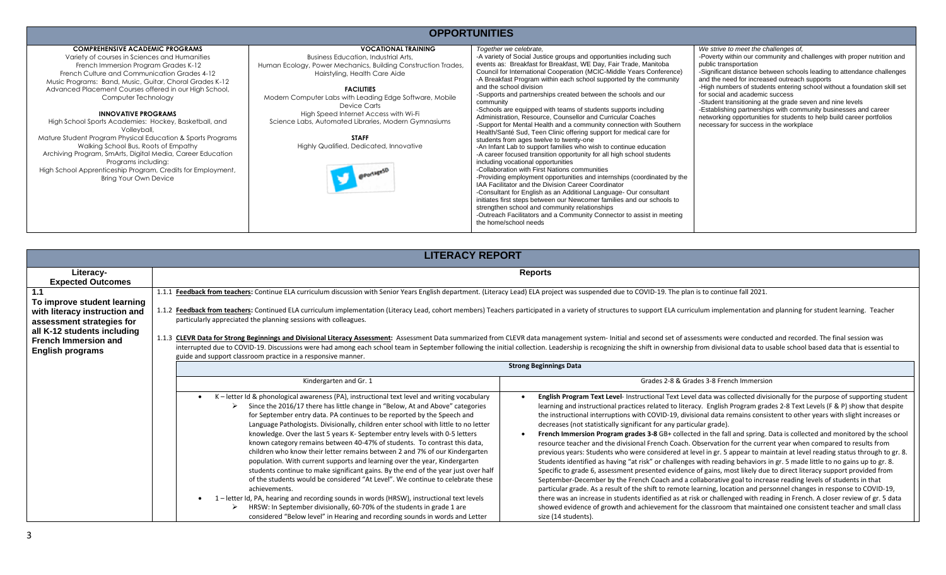#### **OPPORTUNITIES**

| <b>COMPREHENSIVE ACADEMIC PROGRAMS</b><br>Variety of courses in Sciences and Humanities<br>French Immersion Program Grades K-12<br>French Culture and Communication Grades 4-12<br>Music Programs: Band, Music, Guitar, Choral Grades K-12<br>Advanced Placement Courses offered in our High School,<br>Computer Technology<br><b>INNOVATIVE PROGRAMS</b><br>High School Sports Academies: Hockey, Basketball, and<br>Volleyball,<br>Mature Student Program Physical Education & Sports Programs<br>Walking School Bus, Roots of Empathy<br>Archiving Program, SmArts, Digital Media, Career Education<br>Programs including:<br>High School Apprenticeship Program, Credits for Employment,<br>Bring Your Own Device | <b>VOCATIONAL TRAINING</b><br><b>Business Education, Industrial Arts.</b><br>Human Ecology, Power Mechanics, Building Construction Trades,<br>Hairstyling, Health Care Aide<br><b>FACILITIES</b><br>Modern Computer Labs with Leading Edge Software, Mobile<br>Device Carts<br>High Speed Internet Access with Wi-Fi<br>Science Labs, Automated Libraries, Modern Gymnasiums<br><b>STAFF</b><br>Highly Qualified, Dedicated, Innovative | Together we celebrate.<br>-A variety of Social Justice groups and opportunities including such<br>events as: Breakfast for Breakfast, WE Day, Fair Trade, Manitoba<br>Council for International Cooperation (MCIC-Middle Years Conference)<br>-A Breakfast Program within each school supported by the community<br>and the school division<br>-Supports and partnerships created between the schools and our<br>community<br>-Schools are equipped with teams of students supports including<br>Administration, Resource, Counsellor and Curricular Coaches<br>-Support for Mental Health and a community connection with Southern<br>Health/Santé Sud, Teen Clinic offering support for medical care for<br>students from ages twelve to twenty-one<br>-An Infant Lab to support families who wish to continue education<br>-A career focused transition opportunity for all high school students<br>including vocational opportunities<br>-Collaboration with First Nations communities<br>-Providing employment opportunities and internships (coordinated by the<br>IAA Facilitator and the Division Career Coordinator<br>-Consultant for English as an Additional Language- Our consultant<br>initiates first steps between our Newcomer families and our schools to<br>strengthen school and community relationships<br>-Outreach Facilitators and a Community Connector to assist in meeting<br>the home/school needs | We strive to meet the challenges of,<br>-Poverty within our community and challenges with proper nutrition and<br>public transportation<br>-Significant distance between schools leading to attendance challenges<br>and the need for increased outreach supports<br>-High numbers of students entering school without a foundation skill set<br>for social and academic success<br>-Student transitioning at the grade seven and nine levels<br>-Establishing partnerships with community businesses and career<br>networking opportunities for students to help build career portfolios<br>necessary for success in the workplace |
|-----------------------------------------------------------------------------------------------------------------------------------------------------------------------------------------------------------------------------------------------------------------------------------------------------------------------------------------------------------------------------------------------------------------------------------------------------------------------------------------------------------------------------------------------------------------------------------------------------------------------------------------------------------------------------------------------------------------------|-----------------------------------------------------------------------------------------------------------------------------------------------------------------------------------------------------------------------------------------------------------------------------------------------------------------------------------------------------------------------------------------------------------------------------------------|--------------------------------------------------------------------------------------------------------------------------------------------------------------------------------------------------------------------------------------------------------------------------------------------------------------------------------------------------------------------------------------------------------------------------------------------------------------------------------------------------------------------------------------------------------------------------------------------------------------------------------------------------------------------------------------------------------------------------------------------------------------------------------------------------------------------------------------------------------------------------------------------------------------------------------------------------------------------------------------------------------------------------------------------------------------------------------------------------------------------------------------------------------------------------------------------------------------------------------------------------------------------------------------------------------------------------------------------------------------------------------------------------------------------------------|-------------------------------------------------------------------------------------------------------------------------------------------------------------------------------------------------------------------------------------------------------------------------------------------------------------------------------------------------------------------------------------------------------------------------------------------------------------------------------------------------------------------------------------------------------------------------------------------------------------------------------------|

|                                                                                                                                                                                           | <b>LITERACY REPORT</b>                                                                                                                                                                                                                                                                                                                                                                                                                                                                                                                                                                                                                                                                                                                                                                                                                                                                                                                                                                                                                                          |                                                                                                                                                                                                                                                                                                                                                                                                                                                                                                                                                                                                                                                                                                                                                                                                                                                                                                                                                                                                                                                                                                                                                                                                                                                                                                                                                                                                                                                                                                                                                                                                                                                                                 |
|-------------------------------------------------------------------------------------------------------------------------------------------------------------------------------------------|-----------------------------------------------------------------------------------------------------------------------------------------------------------------------------------------------------------------------------------------------------------------------------------------------------------------------------------------------------------------------------------------------------------------------------------------------------------------------------------------------------------------------------------------------------------------------------------------------------------------------------------------------------------------------------------------------------------------------------------------------------------------------------------------------------------------------------------------------------------------------------------------------------------------------------------------------------------------------------------------------------------------------------------------------------------------|---------------------------------------------------------------------------------------------------------------------------------------------------------------------------------------------------------------------------------------------------------------------------------------------------------------------------------------------------------------------------------------------------------------------------------------------------------------------------------------------------------------------------------------------------------------------------------------------------------------------------------------------------------------------------------------------------------------------------------------------------------------------------------------------------------------------------------------------------------------------------------------------------------------------------------------------------------------------------------------------------------------------------------------------------------------------------------------------------------------------------------------------------------------------------------------------------------------------------------------------------------------------------------------------------------------------------------------------------------------------------------------------------------------------------------------------------------------------------------------------------------------------------------------------------------------------------------------------------------------------------------------------------------------------------------|
| Literacy-<br><b>Expected Outcomes</b>                                                                                                                                                     |                                                                                                                                                                                                                                                                                                                                                                                                                                                                                                                                                                                                                                                                                                                                                                                                                                                                                                                                                                                                                                                                 | <b>Reports</b>                                                                                                                                                                                                                                                                                                                                                                                                                                                                                                                                                                                                                                                                                                                                                                                                                                                                                                                                                                                                                                                                                                                                                                                                                                                                                                                                                                                                                                                                                                                                                                                                                                                                  |
| 1.1<br>To improve student learning<br>with literacy instruction and<br>assessment strategies for<br>all K-12 students including<br><b>French Immersion and</b><br><b>English programs</b> | Feedback from teachers: Continue ELA curriculum discussion with Senior Years English department. (Literacy Lead) ELA project was suspended due to COVID-19. The plan is to continue fall 2021.<br>particularly appreciated the planning sessions with colleagues.<br>guide and support classroom practice in a responsive manner.                                                                                                                                                                                                                                                                                                                                                                                                                                                                                                                                                                                                                                                                                                                               | 1.1.2 Feedback from teachers: Continued ELA curriculum implementation (Literacy Lead, cohort members) Teachers participated in a variety of structures to support ELA curriculum implementation and planning for student learn<br>1.1.3 CLEVR Data for Strong Beginnings and Divisional Literacy Assessment: Assessment Data summarized from CLEVR data management system- Initial and second set of assessments were conducted and recorded. The final session<br>interrupted due to COVID-19. Discussions were had among each school team in September following the initial collection. Leadership is recognizing the shift in ownership from divisional data to usable school based data that                                                                                                                                                                                                                                                                                                                                                                                                                                                                                                                                                                                                                                                                                                                                                                                                                                                                                                                                                                               |
|                                                                                                                                                                                           | Kindergarten and Gr. 1<br>K-letter Id & phonological awareness (PA), instructional text level and writing vocabulary<br>Since the 2016/17 there has little change in "Below, At and Above" categories<br>for September entry data. PA continues to be reported by the Speech and<br>Language Pathologists. Divisionally, children enter school with little to no letter<br>knowledge. Over the last 5 years K- September entry levels with 0-5 letters<br>known category remains between 40-47% of students. To contrast this data,<br>children who know their letter remains between 2 and 7% of our Kindergarten<br>population. With current supports and learning over the year, Kindergarten<br>students continue to make significant gains. By the end of the year just over half<br>of the students would be considered "At Level". We continue to celebrate these<br>achievements.<br>1-letter Id, PA, hearing and recording sounds in words (HRSW), instructional text levels<br>HRSW: In September divisionally, 60-70% of the students in grade 1 are | <b>Strong Beginnings Data</b><br>Grades 2-8 & Grades 3-8 French Immersion<br>English Program Text Level- Instructional Text Level data was collected divisionally for the purpose of supporting student<br>learning and instructional practices related to literacy. English Program grades 2-8 Text Levels (F & P) show that despite<br>the instructional interruptions with COVID-19, divisional data remains consistent to other years with slight increases or<br>decreases (not statistically significant for any particular grade).<br>French Immersion Program grades 3-8 GB+ collected in the fall and spring. Data is collected and monitored by the school<br>resource teacher and the divisional French Coach. Observation for the current year when compared to results from<br>previous years: Students who were considered at level in gr. 5 appear to maintain at level reading status through to gr. 8.<br>Students identified as having "at risk" or challenges with reading behaviors in gr. 5 made little to no gains up to gr. 8.<br>Specific to grade 6, assessment presented evidence of gains, most likely due to direct literacy support provided from<br>September-December by the French Coach and a collaborative goal to increase reading levels of students in that<br>particular grade. As a result of the shift to remote learning, location and personnel changes in response to COVID-19,<br>there was an increase in students identified as at risk or challenged with reading in French. A closer review of gr. 5 data<br>showed evidence of growth and achievement for the classroom that maintained one consistent teacher and small class |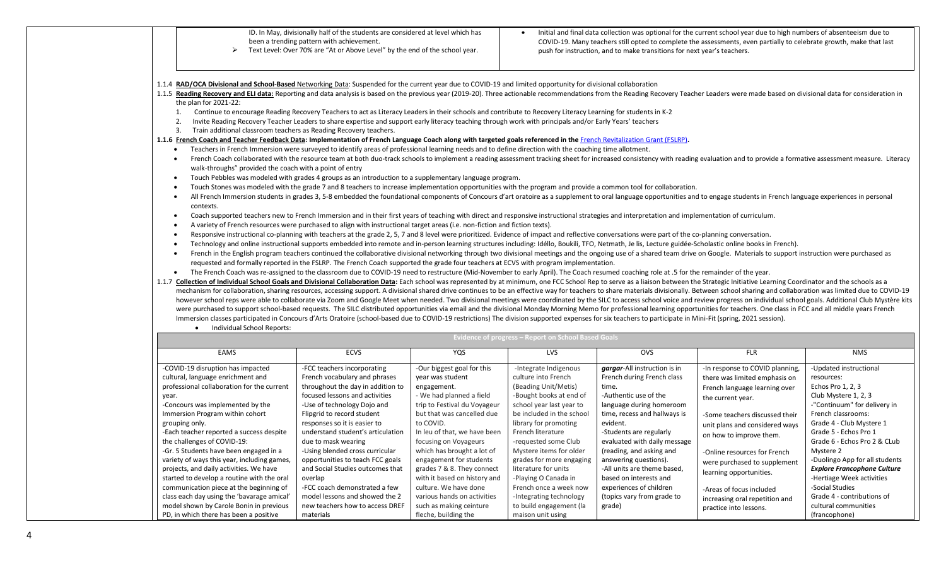|                                                                                                                                                                                                                                                                                                                                                                                                                                                                  | ID. In May, divisionally half of the students are considered at level which has<br>been a trending pattern with achievement.<br>Text Level: Over 70% are "At or Above Level" by the end of the school year.                    |                              |                                                            | push for instruction, and to make transitions for next year's teachers. | Initial and final data collection was optional for the current school year due to high numbers of absenteeism due to<br>COVID-19. Many teachers still opted to complete the assessments, even partially to celebrate growth, make that last |                                                                                                                                                                                                                                                     |
|------------------------------------------------------------------------------------------------------------------------------------------------------------------------------------------------------------------------------------------------------------------------------------------------------------------------------------------------------------------------------------------------------------------------------------------------------------------|--------------------------------------------------------------------------------------------------------------------------------------------------------------------------------------------------------------------------------|------------------------------|------------------------------------------------------------|-------------------------------------------------------------------------|---------------------------------------------------------------------------------------------------------------------------------------------------------------------------------------------------------------------------------------------|-----------------------------------------------------------------------------------------------------------------------------------------------------------------------------------------------------------------------------------------------------|
| 1.1.4 RAD/OCA Divisional and School-Based Networking Data: Suspended for the current year due to COVID-19 and limited opportunity for divisional collaboration                                                                                                                                                                                                                                                                                                   |                                                                                                                                                                                                                                |                              |                                                            |                                                                         |                                                                                                                                                                                                                                             |                                                                                                                                                                                                                                                     |
| 1.1.5 Reading Recovery and ELI data: Reporting and data analysis is based on the previous year (2019-20). Three actionable recommendations from the Reading Recovery Teacher Leaders were made based on divisional data for co                                                                                                                                                                                                                                   |                                                                                                                                                                                                                                |                              |                                                            |                                                                         |                                                                                                                                                                                                                                             |                                                                                                                                                                                                                                                     |
| the plan for 2021-22:                                                                                                                                                                                                                                                                                                                                                                                                                                            |                                                                                                                                                                                                                                |                              |                                                            |                                                                         |                                                                                                                                                                                                                                             |                                                                                                                                                                                                                                                     |
| 1.                                                                                                                                                                                                                                                                                                                                                                                                                                                               | Continue to encourage Reading Recovery Teachers to act as Literacy Leaders in their schools and contribute to Recovery Literacy Learning for students in K-2                                                                   |                              |                                                            |                                                                         |                                                                                                                                                                                                                                             |                                                                                                                                                                                                                                                     |
| 2.                                                                                                                                                                                                                                                                                                                                                                                                                                                               | Invite Reading Recovery Teacher Leaders to share expertise and support early literacy teaching through work with principals and/or Early Years' teachers                                                                       |                              |                                                            |                                                                         |                                                                                                                                                                                                                                             |                                                                                                                                                                                                                                                     |
| Train additional classroom teachers as Reading Recovery teachers.<br>3.                                                                                                                                                                                                                                                                                                                                                                                          |                                                                                                                                                                                                                                |                              |                                                            |                                                                         |                                                                                                                                                                                                                                             |                                                                                                                                                                                                                                                     |
| 1.1.6 French Coach and Teacher Feedback Data: Implementation of French Language Coach along with targeted goals referenced in the French Revitalization Grant (FSLRP).                                                                                                                                                                                                                                                                                           |                                                                                                                                                                                                                                |                              |                                                            |                                                                         |                                                                                                                                                                                                                                             |                                                                                                                                                                                                                                                     |
|                                                                                                                                                                                                                                                                                                                                                                                                                                                                  | Teachers in French Immersion were surveyed to identify areas of professional learning needs and to define direction with the coaching time allotment.                                                                          |                              |                                                            |                                                                         |                                                                                                                                                                                                                                             |                                                                                                                                                                                                                                                     |
|                                                                                                                                                                                                                                                                                                                                                                                                                                                                  | French Coach collaborated with the resource team at both duo-track schools to implement a reading assessment tracking sheet for increased consistency with reading evaluation and to provide a formative assessment measure. L |                              |                                                            |                                                                         |                                                                                                                                                                                                                                             |                                                                                                                                                                                                                                                     |
| walk-throughs" provided the coach with a point of entry                                                                                                                                                                                                                                                                                                                                                                                                          |                                                                                                                                                                                                                                |                              |                                                            |                                                                         |                                                                                                                                                                                                                                             |                                                                                                                                                                                                                                                     |
|                                                                                                                                                                                                                                                                                                                                                                                                                                                                  | Touch Pebbles was modeled with grades 4 groups as an introduction to a supplementary language program.                                                                                                                         |                              |                                                            |                                                                         |                                                                                                                                                                                                                                             |                                                                                                                                                                                                                                                     |
|                                                                                                                                                                                                                                                                                                                                                                                                                                                                  | Touch Stones was modeled with the grade 7 and 8 teachers to increase implementation opportunities with the program and provide a common tool for collaboration.                                                                |                              |                                                            |                                                                         |                                                                                                                                                                                                                                             |                                                                                                                                                                                                                                                     |
| $\bullet$                                                                                                                                                                                                                                                                                                                                                                                                                                                        | All French Immersion students in grades 3, 5-8 embedded the foundational components of Concours d'art oratoire as a supplement to oral language opportunities and to engage students in French language experiences in persona |                              |                                                            |                                                                         |                                                                                                                                                                                                                                             |                                                                                                                                                                                                                                                     |
| contexts.                                                                                                                                                                                                                                                                                                                                                                                                                                                        |                                                                                                                                                                                                                                |                              |                                                            |                                                                         |                                                                                                                                                                                                                                             |                                                                                                                                                                                                                                                     |
|                                                                                                                                                                                                                                                                                                                                                                                                                                                                  | Coach supported teachers new to French Immersion and in their first years of teaching with direct and responsive instructional strategies and interpretation and implementation of curriculum.                                 |                              |                                                            |                                                                         |                                                                                                                                                                                                                                             |                                                                                                                                                                                                                                                     |
|                                                                                                                                                                                                                                                                                                                                                                                                                                                                  | A variety of French resources were purchased to align with instructional target areas (i.e. non-fiction and fiction texts).                                                                                                    |                              |                                                            |                                                                         |                                                                                                                                                                                                                                             |                                                                                                                                                                                                                                                     |
|                                                                                                                                                                                                                                                                                                                                                                                                                                                                  | Responsive instructional co-planning with teachers at the grade 2, 5, 7 and 8 level were prioritized. Evidence of impact and reflective conversations were part of the co-planning conversation.                               |                              |                                                            |                                                                         |                                                                                                                                                                                                                                             |                                                                                                                                                                                                                                                     |
|                                                                                                                                                                                                                                                                                                                                                                                                                                                                  | Technology and online instructional supports embedded into remote and in-person learning structures including: Idéllo, Boukili, TFO, Netmath, Je lis, Lecture guidée-Scholastic online books in French).                       |                              |                                                            |                                                                         |                                                                                                                                                                                                                                             |                                                                                                                                                                                                                                                     |
|                                                                                                                                                                                                                                                                                                                                                                                                                                                                  | French in the English program teachers continued the collaborative divisional networking through two divisional meetings and the ongoing use of a shared team drive on Google. Materials to support instruction were purchased |                              |                                                            |                                                                         |                                                                                                                                                                                                                                             |                                                                                                                                                                                                                                                     |
|                                                                                                                                                                                                                                                                                                                                                                                                                                                                  | requested and formally reported in the FSLRP. The French Coach supported the grade four teachers at ECVS with program implementation.                                                                                          |                              |                                                            |                                                                         |                                                                                                                                                                                                                                             |                                                                                                                                                                                                                                                     |
|                                                                                                                                                                                                                                                                                                                                                                                                                                                                  |                                                                                                                                                                                                                                |                              |                                                            |                                                                         |                                                                                                                                                                                                                                             |                                                                                                                                                                                                                                                     |
| $\bullet$                                                                                                                                                                                                                                                                                                                                                                                                                                                        | The French Coach was re-assigned to the classroom due to COVID-19 need to restructure (Mid-November to early April). The Coach resumed coaching role at .5 for the remainder of the year.                                      |                              |                                                            |                                                                         |                                                                                                                                                                                                                                             |                                                                                                                                                                                                                                                     |
|                                                                                                                                                                                                                                                                                                                                                                                                                                                                  |                                                                                                                                                                                                                                |                              |                                                            |                                                                         |                                                                                                                                                                                                                                             |                                                                                                                                                                                                                                                     |
| mechanism for collaboration, sharing resources, accessing support. A divisional shared drive continues to be an effective way for teachers to share materials divisionally. Between school sharing and collaboration was limit                                                                                                                                                                                                                                   |                                                                                                                                                                                                                                |                              |                                                            |                                                                         |                                                                                                                                                                                                                                             |                                                                                                                                                                                                                                                     |
| 1.1.7 Collection of Individual School Goals and Divisional Collaboration Data: Each school was represented by at minimum, one FCC School Rep to serve as a liaison between the Strategic Initiative Learning Coordinator and t<br>however school reps were able to collaborate via Zoom and Google Meet when needed. Two divisional meetings were coordinated by the SILC to access school voice and review progress on individual school goals. Additional Club |                                                                                                                                                                                                                                |                              |                                                            |                                                                         |                                                                                                                                                                                                                                             |                                                                                                                                                                                                                                                     |
| were purchased to support school-based requests. The SILC distributed opportunities via email and the divisional Monday Morning Memo for professional learning opportunities for teachers. One class in FCC and all middle yea                                                                                                                                                                                                                                   |                                                                                                                                                                                                                                |                              |                                                            |                                                                         |                                                                                                                                                                                                                                             |                                                                                                                                                                                                                                                     |
| Immersion classes participated in Concours d'Arts Oratoire (school-based due to COVID-19 restrictions) The division supported expenses for six teachers to participate in Mini-Fit (spring, 2021 session).                                                                                                                                                                                                                                                       |                                                                                                                                                                                                                                |                              |                                                            |                                                                         |                                                                                                                                                                                                                                             |                                                                                                                                                                                                                                                     |
| Individual School Reports:                                                                                                                                                                                                                                                                                                                                                                                                                                       |                                                                                                                                                                                                                                |                              |                                                            |                                                                         |                                                                                                                                                                                                                                             |                                                                                                                                                                                                                                                     |
|                                                                                                                                                                                                                                                                                                                                                                                                                                                                  |                                                                                                                                                                                                                                |                              | <b>Evidence of progress - Report on School Based Goals</b> |                                                                         |                                                                                                                                                                                                                                             |                                                                                                                                                                                                                                                     |
| EAMS                                                                                                                                                                                                                                                                                                                                                                                                                                                             | <b>ECVS</b>                                                                                                                                                                                                                    | YQS                          | LVS                                                        | <b>OVS</b>                                                              | <b>FLR</b>                                                                                                                                                                                                                                  | <b>NMS</b>                                                                                                                                                                                                                                          |
| -COVID-19 disruption has impacted                                                                                                                                                                                                                                                                                                                                                                                                                                | -FCC teachers incorporating                                                                                                                                                                                                    | -Our biggest goal for this   | -Integrate Indigenous                                      | gargar-All instruction is in                                            | -In response to COVID planning,                                                                                                                                                                                                             | -Updated instructional                                                                                                                                                                                                                              |
| cultural, language enrichment and                                                                                                                                                                                                                                                                                                                                                                                                                                | French vocabulary and phrases                                                                                                                                                                                                  | year was student             | culture into French                                        | French during French class                                              | there was limited emphasis on                                                                                                                                                                                                               | resources:                                                                                                                                                                                                                                          |
| professional collaboration for the current                                                                                                                                                                                                                                                                                                                                                                                                                       | throughout the day in addition to                                                                                                                                                                                              | engagement.                  | (Beading Unit/Metis)                                       | time.                                                                   |                                                                                                                                                                                                                                             | Echos Pro 1, 2, 3                                                                                                                                                                                                                                   |
| year.                                                                                                                                                                                                                                                                                                                                                                                                                                                            | focused lessons and activities                                                                                                                                                                                                 | - We had planned a field     | -Bought books at end of                                    | -Authentic use of the                                                   | French language learning over                                                                                                                                                                                                               | Club Mystere 1, 2, 3                                                                                                                                                                                                                                |
| -Concours was implemented by the                                                                                                                                                                                                                                                                                                                                                                                                                                 | -Use of technology Dojo and                                                                                                                                                                                                    | trip to Festival du Voyageur | school year last year to                                   | language during homeroom                                                | the current year.                                                                                                                                                                                                                           |                                                                                                                                                                                                                                                     |
| Immersion Program within cohort                                                                                                                                                                                                                                                                                                                                                                                                                                  | Flipgrid to record student                                                                                                                                                                                                     | but that was cancelled due   | be included in the school                                  | time, recess and hallways is                                            | -Some teachers discussed their                                                                                                                                                                                                              | French classrooms:                                                                                                                                                                                                                                  |
| grouping only.                                                                                                                                                                                                                                                                                                                                                                                                                                                   | responses so it is easier to                                                                                                                                                                                                   | to COVID.                    | library for promoting                                      | evident.                                                                | unit plans and considered ways                                                                                                                                                                                                              |                                                                                                                                                                                                                                                     |
| -Each teacher reported a success despite                                                                                                                                                                                                                                                                                                                                                                                                                         | understand student's articulation                                                                                                                                                                                              | In leu of that, we have been | French literature                                          | -Students are regularly                                                 |                                                                                                                                                                                                                                             |                                                                                                                                                                                                                                                     |
| the challenges of COVID-19:                                                                                                                                                                                                                                                                                                                                                                                                                                      | due to mask wearing                                                                                                                                                                                                            | focusing on Voyageurs        | -requested some Club                                       | evaluated with daily message                                            | on how to improve them.                                                                                                                                                                                                                     | Grade 5 - Echos Pro 1                                                                                                                                                                                                                               |
| -Gr. 5 Students have been engaged in a                                                                                                                                                                                                                                                                                                                                                                                                                           | -Using blended cross curricular                                                                                                                                                                                                | which has brought a lot of   | Mystere items for older                                    | (reading, and asking and                                                |                                                                                                                                                                                                                                             | Mystere 2                                                                                                                                                                                                                                           |
| variety of ways this year, including games,                                                                                                                                                                                                                                                                                                                                                                                                                      | opportunities to teach FCC goals                                                                                                                                                                                               | engagement for students      | grades for more engaging                                   | answering questions).                                                   | -Online resources for French                                                                                                                                                                                                                |                                                                                                                                                                                                                                                     |
| projects, and daily activities. We have                                                                                                                                                                                                                                                                                                                                                                                                                          | and Social Studies outcomes that                                                                                                                                                                                               | grades 7 & 8. They connect   | literature for units                                       | -All units are theme based,                                             | were purchased to supplement                                                                                                                                                                                                                |                                                                                                                                                                                                                                                     |
| started to develop a routine with the oral                                                                                                                                                                                                                                                                                                                                                                                                                       | overlap                                                                                                                                                                                                                        | with it based on history and | -Playing O Canada in                                       | based on interests and                                                  | learning opportunities.                                                                                                                                                                                                                     |                                                                                                                                                                                                                                                     |
| communication piece at the beginning of                                                                                                                                                                                                                                                                                                                                                                                                                          | -FCC coach demonstrated a few                                                                                                                                                                                                  | culture. We have done        | French once a week now                                     | experiences of children                                                 |                                                                                                                                                                                                                                             | -Social Studies                                                                                                                                                                                                                                     |
| class each day using the 'bavarage amical'                                                                                                                                                                                                                                                                                                                                                                                                                       | model lessons and showed the 2                                                                                                                                                                                                 | various hands on activities  | -Integrating technology                                    | (topics vary from grade to                                              | -Areas of focus included                                                                                                                                                                                                                    |                                                                                                                                                                                                                                                     |
| model shown by Carole Bonin in previous                                                                                                                                                                                                                                                                                                                                                                                                                          | new teachers how to access DREF                                                                                                                                                                                                | such as making ceinture      | to build engagement (la                                    | grade)                                                                  | increasing oral repetition and<br>practice into lessons.                                                                                                                                                                                    | -"Continuum" for delivery in<br>Grade 4 - Club Mystere 1<br>Grade 6 - Echos Pro 2 & CLub<br>-Duolingo App for all students<br><b>Explore Francophone Culture</b><br>-Hertiage Week activities<br>Grade 4 - contributions of<br>cultural communities |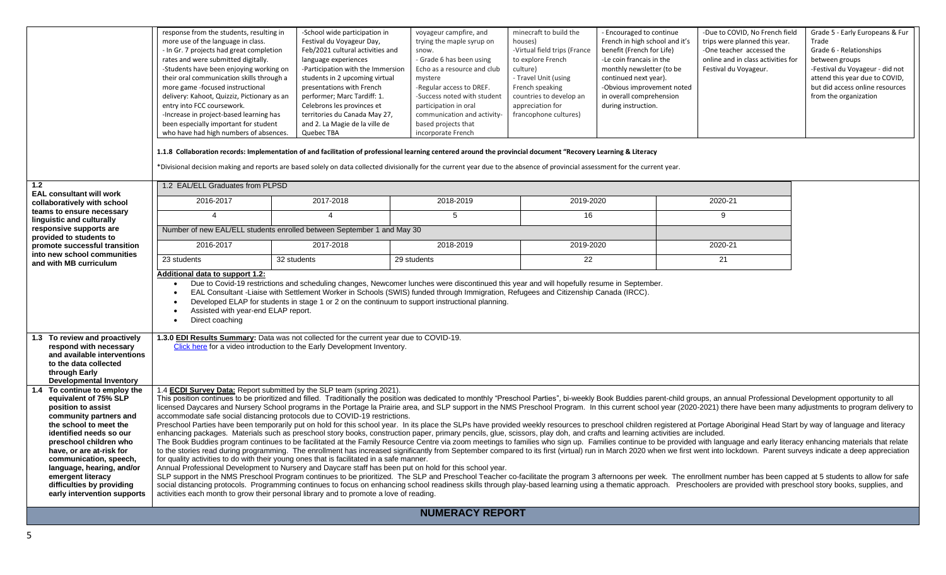|                                                                                                                                                                                                                                                                                                                                                           | response from the students, resulting in<br>more use of the language in class.<br>- In Gr. 7 projects had great completion<br>rates and were submitted digitally.<br>-Students have been enjoying working on<br>their oral communication skills through a<br>more game -focused instructional<br>delivery: Kahoot, Quizziz, Pictionary as an<br>entry into FCC coursework.<br>-Increase in project-based learning has<br>been especially important for student<br>who have had high numbers of absences.                                                                                                                                                                                                                                                                                                                                                                                                                                                                                                                                                                                                                                                                                                                                                                                                                                                                                                                                                                                                                                                                                                                                                                                                                                                                                                                                                                                                                                                                                                                                                                                                                                                                                                                                                                        | -School wide participation in<br>Festival du Voyageur Day,<br>Feb/2021 cultural activities and<br>language experiences<br>-Participation with the Immersion<br>students in 2 upcoming virtual<br>presentations with French<br>performer; Marc Tardiff: 1.<br>Celebrons les provinces et<br>territories du Canada May 27,<br>and 2. La Magie de la ville de<br>Quebec TBA<br>1.1.8 Collaboration records: Implementation of and facilitation of professional learning centered around the provincial document "Recovery Learning & Literacy<br>*Divisional decision making and reports are based solely on data collected divisionally for the current year due to the absence of provincial assessment for the current year. | voyageur campfire, and<br>trying the maple syrup on<br>snow.<br>- Grade 6 has been using<br>Echo as a resource and club<br>mystere<br>-Regular access to DREF.<br>-Success noted with student<br>participation in oral<br>communication and activity-<br>based projects that<br>incorporate French | minecraft to build the<br>houses)<br>-Virtual field trips (France<br>to explore French<br>culture)<br>- Travel Unit (using<br>French speaking<br>countries to develop an<br>appreciation for<br>francophone cultures) | - Encouraged to continue<br>French in high school and it's<br>benefit (French for Life)<br>-Le coin francais in the<br>monthly newsletter (to be<br>continued next year).<br>-Obvious improvement noted<br>in overall comprehension<br>during instruction. | -Due to COVID, No French field<br>trips were planned this year.<br>-One teacher accessed the<br>online and in class activities for<br>Festival du Voyageur. | Grade 5 - Early Europeans & Fur<br>Trade<br>Grade 6 - Relationships<br>between groups<br>-Festival du Voyageur - did not<br>attend this year due to COVID,<br>but did access online resources<br>from the organization |  |  |
|-----------------------------------------------------------------------------------------------------------------------------------------------------------------------------------------------------------------------------------------------------------------------------------------------------------------------------------------------------------|---------------------------------------------------------------------------------------------------------------------------------------------------------------------------------------------------------------------------------------------------------------------------------------------------------------------------------------------------------------------------------------------------------------------------------------------------------------------------------------------------------------------------------------------------------------------------------------------------------------------------------------------------------------------------------------------------------------------------------------------------------------------------------------------------------------------------------------------------------------------------------------------------------------------------------------------------------------------------------------------------------------------------------------------------------------------------------------------------------------------------------------------------------------------------------------------------------------------------------------------------------------------------------------------------------------------------------------------------------------------------------------------------------------------------------------------------------------------------------------------------------------------------------------------------------------------------------------------------------------------------------------------------------------------------------------------------------------------------------------------------------------------------------------------------------------------------------------------------------------------------------------------------------------------------------------------------------------------------------------------------------------------------------------------------------------------------------------------------------------------------------------------------------------------------------------------------------------------------------------------------------------------------------|------------------------------------------------------------------------------------------------------------------------------------------------------------------------------------------------------------------------------------------------------------------------------------------------------------------------------------------------------------------------------------------------------------------------------------------------------------------------------------------------------------------------------------------------------------------------------------------------------------------------------------------------------------------------------------------------------------------------------|----------------------------------------------------------------------------------------------------------------------------------------------------------------------------------------------------------------------------------------------------------------------------------------------------|-----------------------------------------------------------------------------------------------------------------------------------------------------------------------------------------------------------------------|------------------------------------------------------------------------------------------------------------------------------------------------------------------------------------------------------------------------------------------------------------|-------------------------------------------------------------------------------------------------------------------------------------------------------------|------------------------------------------------------------------------------------------------------------------------------------------------------------------------------------------------------------------------|--|--|
| 1.2                                                                                                                                                                                                                                                                                                                                                       | 1.2 EAL/ELL Graduates from PLPSD                                                                                                                                                                                                                                                                                                                                                                                                                                                                                                                                                                                                                                                                                                                                                                                                                                                                                                                                                                                                                                                                                                                                                                                                                                                                                                                                                                                                                                                                                                                                                                                                                                                                                                                                                                                                                                                                                                                                                                                                                                                                                                                                                                                                                                                |                                                                                                                                                                                                                                                                                                                                                                                                                                                                                                                                                                                                                                                                                                                              |                                                                                                                                                                                                                                                                                                    |                                                                                                                                                                                                                       |                                                                                                                                                                                                                                                            |                                                                                                                                                             |                                                                                                                                                                                                                        |  |  |
| <b>EAL consultant will work</b><br>collaboratively with school                                                                                                                                                                                                                                                                                            | 2016-2017                                                                                                                                                                                                                                                                                                                                                                                                                                                                                                                                                                                                                                                                                                                                                                                                                                                                                                                                                                                                                                                                                                                                                                                                                                                                                                                                                                                                                                                                                                                                                                                                                                                                                                                                                                                                                                                                                                                                                                                                                                                                                                                                                                                                                                                                       | 2017-2018                                                                                                                                                                                                                                                                                                                                                                                                                                                                                                                                                                                                                                                                                                                    | 2018-2019                                                                                                                                                                                                                                                                                          | 2019-2020                                                                                                                                                                                                             |                                                                                                                                                                                                                                                            | 2020-21                                                                                                                                                     |                                                                                                                                                                                                                        |  |  |
| teams to ensure necessary<br>linguistic and culturally                                                                                                                                                                                                                                                                                                    | $\Delta$                                                                                                                                                                                                                                                                                                                                                                                                                                                                                                                                                                                                                                                                                                                                                                                                                                                                                                                                                                                                                                                                                                                                                                                                                                                                                                                                                                                                                                                                                                                                                                                                                                                                                                                                                                                                                                                                                                                                                                                                                                                                                                                                                                                                                                                                        | $\overline{4}$                                                                                                                                                                                                                                                                                                                                                                                                                                                                                                                                                                                                                                                                                                               | 5                                                                                                                                                                                                                                                                                                  | 16                                                                                                                                                                                                                    |                                                                                                                                                                                                                                                            | 9                                                                                                                                                           |                                                                                                                                                                                                                        |  |  |
| responsive supports are<br>provided to students to                                                                                                                                                                                                                                                                                                        |                                                                                                                                                                                                                                                                                                                                                                                                                                                                                                                                                                                                                                                                                                                                                                                                                                                                                                                                                                                                                                                                                                                                                                                                                                                                                                                                                                                                                                                                                                                                                                                                                                                                                                                                                                                                                                                                                                                                                                                                                                                                                                                                                                                                                                                                                 | Number of new EAL/ELL students enrolled between September 1 and May 30                                                                                                                                                                                                                                                                                                                                                                                                                                                                                                                                                                                                                                                       |                                                                                                                                                                                                                                                                                                    |                                                                                                                                                                                                                       |                                                                                                                                                                                                                                                            |                                                                                                                                                             |                                                                                                                                                                                                                        |  |  |
| promote successful transition                                                                                                                                                                                                                                                                                                                             | 2016-2017                                                                                                                                                                                                                                                                                                                                                                                                                                                                                                                                                                                                                                                                                                                                                                                                                                                                                                                                                                                                                                                                                                                                                                                                                                                                                                                                                                                                                                                                                                                                                                                                                                                                                                                                                                                                                                                                                                                                                                                                                                                                                                                                                                                                                                                                       | 2017-2018                                                                                                                                                                                                                                                                                                                                                                                                                                                                                                                                                                                                                                                                                                                    | 2018-2019                                                                                                                                                                                                                                                                                          | 2019-2020                                                                                                                                                                                                             |                                                                                                                                                                                                                                                            | 2020-21                                                                                                                                                     |                                                                                                                                                                                                                        |  |  |
| into new school communities<br>and with MB curriculum                                                                                                                                                                                                                                                                                                     | 23 students                                                                                                                                                                                                                                                                                                                                                                                                                                                                                                                                                                                                                                                                                                                                                                                                                                                                                                                                                                                                                                                                                                                                                                                                                                                                                                                                                                                                                                                                                                                                                                                                                                                                                                                                                                                                                                                                                                                                                                                                                                                                                                                                                                                                                                                                     | 32 students                                                                                                                                                                                                                                                                                                                                                                                                                                                                                                                                                                                                                                                                                                                  | 29 students                                                                                                                                                                                                                                                                                        | $\overline{22}$                                                                                                                                                                                                       |                                                                                                                                                                                                                                                            | $\overline{21}$                                                                                                                                             |                                                                                                                                                                                                                        |  |  |
|                                                                                                                                                                                                                                                                                                                                                           | Additional data to support 1.2:<br>Assisted with year-end ELAP report.<br>Direct coaching                                                                                                                                                                                                                                                                                                                                                                                                                                                                                                                                                                                                                                                                                                                                                                                                                                                                                                                                                                                                                                                                                                                                                                                                                                                                                                                                                                                                                                                                                                                                                                                                                                                                                                                                                                                                                                                                                                                                                                                                                                                                                                                                                                                       | Due to Covid-19 restrictions and scheduling changes, Newcomer lunches were discontinued this year and will hopefully resume in September.<br>EAL Consultant -Liaise with Settlement Worker in Schools (SWIS) funded through Immigration, Refugees and Citizenship Canada (IRCC).<br>Developed ELAP for students in stage 1 or 2 on the continuum to support instructional planning.                                                                                                                                                                                                                                                                                                                                          |                                                                                                                                                                                                                                                                                                    |                                                                                                                                                                                                                       |                                                                                                                                                                                                                                                            |                                                                                                                                                             |                                                                                                                                                                                                                        |  |  |
| 1.3 To review and proactively<br>respond with necessary<br>and available interventions<br>to the data collected<br>through Early<br><b>Developmental Inventory</b>                                                                                                                                                                                        |                                                                                                                                                                                                                                                                                                                                                                                                                                                                                                                                                                                                                                                                                                                                                                                                                                                                                                                                                                                                                                                                                                                                                                                                                                                                                                                                                                                                                                                                                                                                                                                                                                                                                                                                                                                                                                                                                                                                                                                                                                                                                                                                                                                                                                                                                 | 1.3.0 EDI Results Summary: Data was not collected for the current year due to COVID-19.<br>Click here for a video introduction to the Early Development Inventory.                                                                                                                                                                                                                                                                                                                                                                                                                                                                                                                                                           |                                                                                                                                                                                                                                                                                                    |                                                                                                                                                                                                                       |                                                                                                                                                                                                                                                            |                                                                                                                                                             |                                                                                                                                                                                                                        |  |  |
| 1.4 To continue to employ the<br>equivalent of 75% SLP<br>position to assist<br>community partners and<br>the school to meet the<br>identified needs so our<br>preschool children who<br>have, or are at-risk for<br>communication, speech,<br>language, hearing, and/or<br>emergent literacy<br>difficulties by providing<br>early intervention supports | 1.4 <b>ECDI Survey Data:</b> Report submitted by the SLP team (spring 2021).<br>This position continues to be prioritized and filled. Traditionally the position was dedicated to monthly "Preschool Parties", bi-weekly Book Buddies parent-child groups, an annual Professional Development opportunity to a<br>licensed Daycares and Nursery School programs in the Portage la Prairie area, and SLP support in the NMS Preschool Program. In this current school year (2020-2021) there have been many adjustments to program delivery to<br>accommodate safe social distancing protocols due to COVID-19 restrictions.<br>Preschool Parties have been temporarily put on hold for this school year. In its place the SLPs have provided weekly resources to preschool children registered at Portage Aboriginal Head Start by way of language and litera<br>enhancing packages. Materials such as preschool story books, construction paper, primary pencils, glue, scissors, play doh, and crafts and learning activities are included.<br>The Book Buddies program continues to be facilitated at the Family Resource Centre via zoom meetings to families who sign up. Families continue to be provided with language and early literacy enhancing materials that relat<br>to the stories read during programming. The enrollment has increased significantly from September compared to its first (virtual) run in March 2020 when we first went into lockdown. Parent surveys indicate a deep appreciat<br>for quality activities to do with their young ones that is facilitated in a safe manner.<br>Annual Professional Development to Nursery and Daycare staff has been put on hold for this school year.<br>SLP support in the NMS Preschool Program continues to be prioritized. The SLP and Preschool Teacher co-facilitate the program 3 afternoons per week. The enrollment number has been capped at 5 students to allow for safe<br>social distancing protocols. Programming continues to focus on enhancing school readiness skills through play-based learning using a thematic approach. Preschoolers are provided with preschool story books, supplies, and<br>activities each month to grow their personal library and to promote a love of reading. |                                                                                                                                                                                                                                                                                                                                                                                                                                                                                                                                                                                                                                                                                                                              |                                                                                                                                                                                                                                                                                                    |                                                                                                                                                                                                                       |                                                                                                                                                                                                                                                            |                                                                                                                                                             |                                                                                                                                                                                                                        |  |  |
|                                                                                                                                                                                                                                                                                                                                                           |                                                                                                                                                                                                                                                                                                                                                                                                                                                                                                                                                                                                                                                                                                                                                                                                                                                                                                                                                                                                                                                                                                                                                                                                                                                                                                                                                                                                                                                                                                                                                                                                                                                                                                                                                                                                                                                                                                                                                                                                                                                                                                                                                                                                                                                                                 |                                                                                                                                                                                                                                                                                                                                                                                                                                                                                                                                                                                                                                                                                                                              | <b>NUMERACY REPORT</b>                                                                                                                                                                                                                                                                             |                                                                                                                                                                                                                       |                                                                                                                                                                                                                                                            |                                                                                                                                                             |                                                                                                                                                                                                                        |  |  |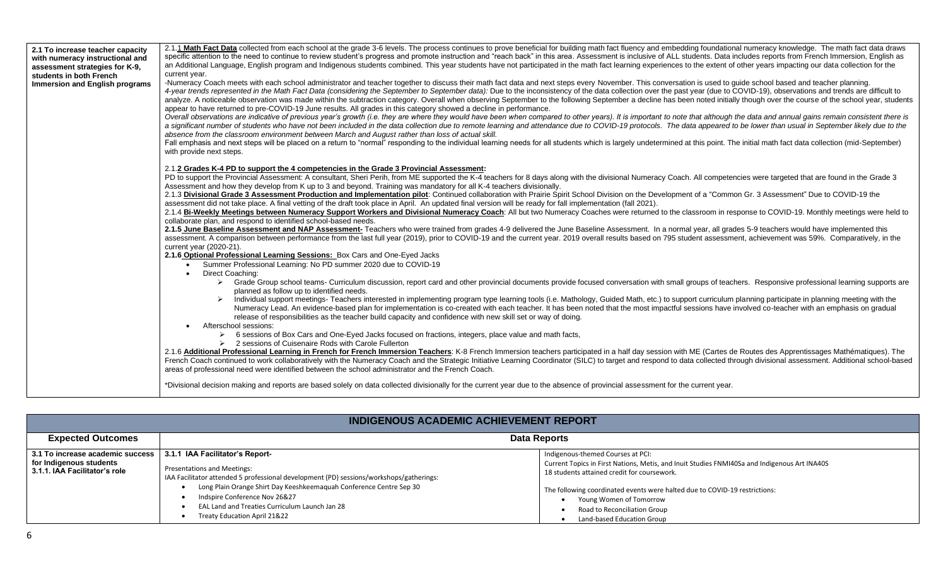| 2.1 To increase teacher capacity<br>with numeracy instructional and<br>assessment strategies for K-9,<br>students in both French<br><b>Immersion and English programs</b> | 2.1.1 Math Fact Data collected from each school at the grade 3-6 levels. The process continues to prove beneficial for building math fact fluency and embedding foundational numeracy knowledge. The math fact data draws<br>specific attention to the need to continue to review student's progress and promote instruction and "reach back" in this area. Assessment is inclusive of ALL students. Data includes reports from French Immersion, English a<br>an Additional Language, English program and Indigenous students combined. This year students have not participated in the math fact learning experiences to the extent of other years impacting our data collection for the<br>current year.<br>-Numeracy Coach meets with each school administrator and teacher together to discuss their math fact data and next steps every November. This conversation is used to guide school based and teacher planning.<br>4-year trends represented in the Math Fact Data (considering the September to September data): Due to the inconsistency of the data collection over the past year (due to COVID-19), observations and trends are difficult to<br>analyze. A noticeable observation was made within the subtraction category. Overall when observing September to the following September a decline has been noted initially though over the course of the school year, students<br>appear to have returned to pre-COVID-19 June results. All grades in this category showed a decline in performance.<br>Overall observations are indicative of previous year's growth (i.e. they are where they would have been when compared to other years). It is important to note that although the data and annual gains remain consistent there<br>a significant number of students who have not been included in the data collection due to remote learning and attendance due to COVID-19 protocols. The data appeared to be lower than usual in September likely due to the<br>absence from the classroom environment between March and August rather than loss of actual skill.<br>Fall emphasis and next steps will be placed on a return to "normal" responding to the individual learning needs for all students which is largely undetermined at this point. The initial math fact data collection (mid-Septe<br>with provide next steps. |
|---------------------------------------------------------------------------------------------------------------------------------------------------------------------------|------------------------------------------------------------------------------------------------------------------------------------------------------------------------------------------------------------------------------------------------------------------------------------------------------------------------------------------------------------------------------------------------------------------------------------------------------------------------------------------------------------------------------------------------------------------------------------------------------------------------------------------------------------------------------------------------------------------------------------------------------------------------------------------------------------------------------------------------------------------------------------------------------------------------------------------------------------------------------------------------------------------------------------------------------------------------------------------------------------------------------------------------------------------------------------------------------------------------------------------------------------------------------------------------------------------------------------------------------------------------------------------------------------------------------------------------------------------------------------------------------------------------------------------------------------------------------------------------------------------------------------------------------------------------------------------------------------------------------------------------------------------------------------------------------------------------------------------------------------------------------------------------------------------------------------------------------------------------------------------------------------------------------------------------------------------------------------------------------------------------------------------------------------------------------------------------------------------------------------------------------------------------------------------------------------------------------------------------------------|
|                                                                                                                                                                           | 2.1.2 Grades K-4 PD to support the 4 competencies in the Grade 3 Provincial Assessment:<br>PD to support the Provincial Assessment: A consultant, Sheri Perih, from ME supported the K-4 teachers for 8 days along with the divisional Numeracy Coach. All competencies were targeted that are found in the Grade 3<br>Assessment and how they develop from K up to 3 and beyond. Training was mandatory for all K-4 teachers divisionally.<br>2.1.3 Divisional Grade 3 Assessment Production and Implementation pilot: Continued collaboration with Prairie Spirit School Division on the Development of a "Common Gr. 3 Assessment" Due to COVID-19 the<br>assessment did not take place. A final vetting of the draft took place in April. An updated final version will be ready for fall implementation (fall 2021).<br>2.1.4 Bi-Weekly Meetings between Numeracy Support Workers and Divisional Numeracy Coach: All but two Numeracy Coaches were returned to the classroom in response to COVID-19. Monthly meetings were held to<br>collaborate plan, and respond to identified school-based needs.<br>2.1.5 June Baseline Assessment and NAP Assessment- Teachers who were trained from grades 4-9 delivered the June Baseline Assessment. In a normal year, all grades 5-9 teachers would have implemented this<br>assessment. A comparison between performance from the last full year (2019), prior to COVID-19 and the current year. 2019 overall results based on 795 student assessment, achievement was 59%. Comparatively, in the<br>current year (2020-21).<br>2.1.6 Optional Professional Learning Sessions: Box Cars and One-Eyed Jacks                                                                                                                                                                                                                                                                                                                                                                                                                                                                                                                                                                                                                                                                                                |
|                                                                                                                                                                           | Summer Professional Learning: No PD summer 2020 due to COVID-19<br>Direct Coaching:<br>$\bullet$<br>> Grade Group school teams- Curriculum discussion, report card and other provincial documents provide focused conversation with small groups of teachers. Responsive professional learning supports are<br>planned as follow up to identified needs.<br>Individual support meetings- Teachers interested in implementing program type learning tools (i.e. Mathology, Guided Math, etc.) to support curriculum planning participate in planning meeting with the<br>Numeracy Lead. An evidence-based plan for implementation is co-created with each teacher. It has been noted that the most impactful sessions have involved co-teacher with an emphasis on gradual<br>release of responsibilities as the teacher build capacity and confidence with new skill set or way of doing.<br>Afterschool sessions:<br>6 sessions of Box Cars and One-Eyed Jacks focused on fractions, integers, place value and math facts,<br>$\geq$ 2 sessions of Cuisenaire Rods with Carole Fullerton<br>2.1.6 Additional Professional Learning in French for French Immersion Teachers: K-8 French Immersion teachers participated in a half day session with ME (Cartes de Routes des Apprentissages Mathématiques). The<br>French Coach continued to work collaboratively with the Numeracy Coach and the Strategic Initiative Learning Coordinator (SILC) to target and respond to data collected through divisional assessment. Additional school-based<br>areas of professional need were identified between the school administrator and the French Coach.<br>*Divisional decision making and reports are based solely on data collected divisionally for the current year due to the absence of provincial assessment for the current year.                                                                                                                                                                                                                                                                                                                                                                                                                                                                                                                    |

| <b>INDIGENOUS ACADEMIC ACHIEVEMENT REPORT</b> |
|-----------------------------------------------|
|-----------------------------------------------|

| <b>Expected Outcomes</b>                                                                       |                                                                                                                                                                                                                                                                                                                                                                   | <b>Data Reports</b>                                                                                                                                                                                                                                                                                                                                     |  |  |  |  |
|------------------------------------------------------------------------------------------------|-------------------------------------------------------------------------------------------------------------------------------------------------------------------------------------------------------------------------------------------------------------------------------------------------------------------------------------------------------------------|---------------------------------------------------------------------------------------------------------------------------------------------------------------------------------------------------------------------------------------------------------------------------------------------------------------------------------------------------------|--|--|--|--|
| 3.1 To increase academic success  <br>for Indigenous students<br>3.1.1. IAA Facilitator's role | 3.1.1 IAA Facilitator's Report-<br><b>Presentations and Meetings:</b><br>IAA Facilitator attended 5 professional development (PD) sessions/workshops/gatherings:<br>Long Plain Orange Shirt Day Keeshkeemaguah Conference Centre Sep 30<br>Indspire Conference Nov 26&27<br><b>EAL Land and Treaties Curriculum Launch Jan 28</b><br>Treaty Education April 21&22 | Indigenous-themed Courses at PCI:<br>Current Topics in First Nations, Metis, and Inuit Studies FNMI40Sa and Indigenous Art INA40S<br>18 students attained credit for coursework.<br>The following coordinated events were halted due to COVID-19 restrictions:<br>Young Women of Tomorrow<br>Road to Reconciliation Group<br>Land-based Education Group |  |  |  |  |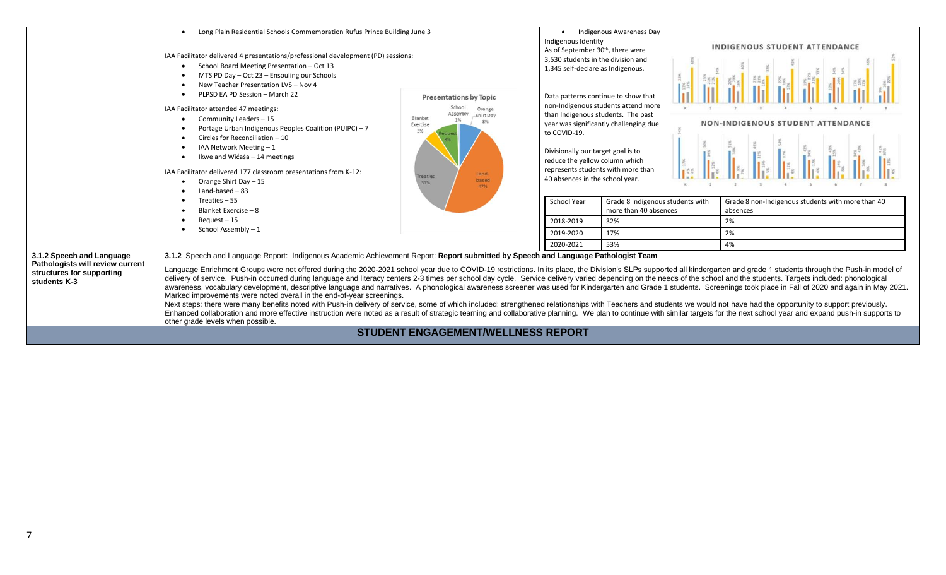|                                                               | Long Plain Residential Schools Commemoration Rufus Prince Building June 3                                                                                                                                                                                                                                                                                       |                                        | $\bullet$                                                              | Indigenous Awareness Day                                                  |                                   |                                                   |  |
|---------------------------------------------------------------|-----------------------------------------------------------------------------------------------------------------------------------------------------------------------------------------------------------------------------------------------------------------------------------------------------------------------------------------------------------------|----------------------------------------|------------------------------------------------------------------------|---------------------------------------------------------------------------|-----------------------------------|---------------------------------------------------|--|
|                                                               |                                                                                                                                                                                                                                                                                                                                                                 |                                        | Indigenous Identity                                                    |                                                                           |                                   | INDIGENOUS STUDENT ATTENDANCE                     |  |
|                                                               | IAA Facilitator delivered 4 presentations/professional development (PD) sessions:                                                                                                                                                                                                                                                                               |                                        | As of September 30th, there were<br>3.530 students in the division and |                                                                           |                                   |                                                   |  |
|                                                               | School Board Meeting Presentation - Oct 13                                                                                                                                                                                                                                                                                                                      |                                        | 1,345 self-declare as Indigenous.                                      |                                                                           |                                   |                                                   |  |
|                                                               | MTS PD Day - Oct 23 - Ensouling our Schools                                                                                                                                                                                                                                                                                                                     |                                        |                                                                        |                                                                           |                                   |                                                   |  |
|                                                               | New Teacher Presentation LVS - Nov 4                                                                                                                                                                                                                                                                                                                            |                                        |                                                                        |                                                                           |                                   |                                                   |  |
|                                                               | PLPSD EA PD Session - March 22                                                                                                                                                                                                                                                                                                                                  | <b>Presentations by Topic</b>          |                                                                        | Data patterns continue to show that                                       |                                   |                                                   |  |
|                                                               | IAA Facilitator attended 47 meetings:                                                                                                                                                                                                                                                                                                                           | School<br>Orange<br>Shirt Day          |                                                                        | non-Indigenous students attend more<br>than Indigenous students. The past |                                   |                                                   |  |
|                                                               | Community Leaders - 15                                                                                                                                                                                                                                                                                                                                          | Blanket<br>1%<br>8%<br>Exercise        |                                                                        | year was significantly challenging due                                    | NON-INDIGENOUS STUDENT ATTENDANCE |                                                   |  |
|                                                               | Portage Urban Indigenous Peoples Coalition (PUIPC) - 7                                                                                                                                                                                                                                                                                                          | 5%                                     | to COVID-19.                                                           |                                                                           |                                   |                                                   |  |
|                                                               | Circles for Reconciliation - 10                                                                                                                                                                                                                                                                                                                                 |                                        |                                                                        |                                                                           |                                   |                                                   |  |
|                                                               | IAA Network Meeting - 1                                                                                                                                                                                                                                                                                                                                         |                                        | Divisionally our target goal is to                                     |                                                                           |                                   |                                                   |  |
|                                                               | Ikwe and Wićaśa - 14 meetings                                                                                                                                                                                                                                                                                                                                   |                                        | reduce the yellow column which                                         |                                                                           |                                   |                                                   |  |
|                                                               | IAA Facilitator delivered 177 classroom presentations from K-12:                                                                                                                                                                                                                                                                                                | Land-                                  |                                                                        | represents students with more than                                        |                                   |                                                   |  |
|                                                               | Orange Shirt Day - 15                                                                                                                                                                                                                                                                                                                                           | <b>Treaties</b><br>based<br>31%<br>47% | 40 absences in the school year.                                        |                                                                           |                                   |                                                   |  |
|                                                               | Land-based $-83$                                                                                                                                                                                                                                                                                                                                                |                                        |                                                                        |                                                                           |                                   |                                                   |  |
|                                                               | Treaties - 55                                                                                                                                                                                                                                                                                                                                                   |                                        | School Year                                                            | Grade 8 Indigenous students with                                          |                                   | Grade 8 non-Indigenous students with more than 40 |  |
|                                                               | Blanket Exercise - 8                                                                                                                                                                                                                                                                                                                                            |                                        |                                                                        | more than 40 absences                                                     |                                   | absences                                          |  |
|                                                               | Request - 15                                                                                                                                                                                                                                                                                                                                                    |                                        | 2018-2019                                                              | 32%                                                                       |                                   | 2%                                                |  |
|                                                               | School Assembly-1                                                                                                                                                                                                                                                                                                                                               |                                        | 2019-2020                                                              | 17%                                                                       |                                   | 2%                                                |  |
|                                                               |                                                                                                                                                                                                                                                                                                                                                                 |                                        | 2020-2021                                                              | 53%                                                                       |                                   | 4%                                                |  |
| 3.1.2 Speech and Language<br>Pathologists will review current | 3.1.2 Speech and Language Report: Indigenous Academic Achievement Report: Report submitted by Speech and Language Pathologist Team<br>Language Enrichment Groups were not offered during the 2020-2021 school year due to COVID-19 restrictions. In its place, the Division's SLPs supported all kindergarten and grade 1 students through the Push-in model of |                                        |                                                                        |                                                                           |                                   |                                                   |  |
| structures for supporting<br>students K-3                     | delivery of service. Push-in occurred during language and literacy centers 2-3 times per school day cycle. Service delivery varied depending on the needs of the school and the students. Targets included: phonological                                                                                                                                        |                                        |                                                                        |                                                                           |                                   |                                                   |  |
|                                                               | awareness, vocabulary development, descriptive language and narratives. A phonological awareness screener was used for Kindergarten and Grade 1 students. Screenings took place in Fall of 2020 and again in May 2021.                                                                                                                                          |                                        |                                                                        |                                                                           |                                   |                                                   |  |
|                                                               | Marked improvements were noted overall in the end-of-year screenings.                                                                                                                                                                                                                                                                                           |                                        |                                                                        |                                                                           |                                   |                                                   |  |
|                                                               | Next steps: there were many benefits noted with Push-in delivery of service, some of which included: strengthened relationships with Teachers and students we would not have had the opportunity to support previously.                                                                                                                                         |                                        |                                                                        |                                                                           |                                   |                                                   |  |
|                                                               | Enhanced collaboration and more effective instruction were noted as a result of strategic teaming and collaborative planning. We plan to continue with similar targets for the next school year and expand push-in supports to<br>other grade levels when possible.                                                                                             |                                        |                                                                        |                                                                           |                                   |                                                   |  |
|                                                               |                                                                                                                                                                                                                                                                                                                                                                 | STUDENT ENGAGEMENT/WELLNESS REPORT     |                                                                        |                                                                           |                                   |                                                   |  |
|                                                               |                                                                                                                                                                                                                                                                                                                                                                 |                                        |                                                                        |                                                                           |                                   |                                                   |  |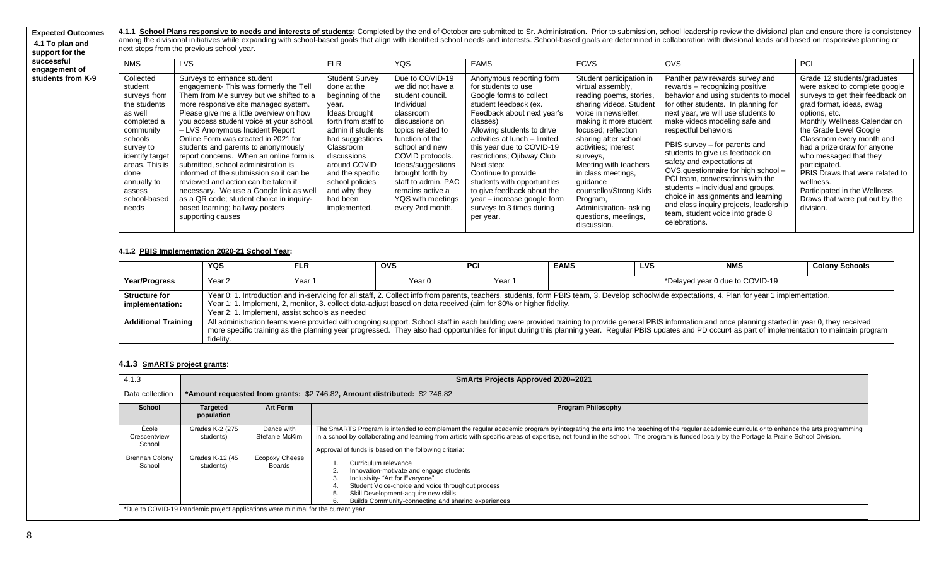**Expected Outcomes 4.1 To plan and support for the**  4.1.1 School Plans responsive to needs and interests of students: Completed by the end of October are submitted to Sr. Administration. Prior to submission, school leadership review the divisional plan and ensure there is c among the divisional initiatives while expanding with school-based goals that align with identified school needs and interests. School-based goals are determined in collaboration with divisional leads and based on responsi next steps from the previous school year.

| successful<br>engagement of | <b>NMS</b>                                                                                                                                                                                                         | <b>LVS</b>                                                                                                                                                                                                                                                                                                                                                                                                                                                                                                                                                                                                                                                                        | <b>FLR</b>                                                                                                                                                                                                                                                                        | <b>YQS</b>                                                                                                                                                                                                                                                                                                       | <b>EAMS</b>                                                                                                                                                                                                                                                                                                                                                                                                                                        | <b>ECVS</b>                                                                                                                                                                                                                                                                                                                                                                                               | OVS                                                                                                                                                                                                                                                                                                                                                                                                                                                                                                                                                                                                    | PCI                                                                                                                                                                                                                                                                                                                                                                                                                                           |
|-----------------------------|--------------------------------------------------------------------------------------------------------------------------------------------------------------------------------------------------------------------|-----------------------------------------------------------------------------------------------------------------------------------------------------------------------------------------------------------------------------------------------------------------------------------------------------------------------------------------------------------------------------------------------------------------------------------------------------------------------------------------------------------------------------------------------------------------------------------------------------------------------------------------------------------------------------------|-----------------------------------------------------------------------------------------------------------------------------------------------------------------------------------------------------------------------------------------------------------------------------------|------------------------------------------------------------------------------------------------------------------------------------------------------------------------------------------------------------------------------------------------------------------------------------------------------------------|----------------------------------------------------------------------------------------------------------------------------------------------------------------------------------------------------------------------------------------------------------------------------------------------------------------------------------------------------------------------------------------------------------------------------------------------------|-----------------------------------------------------------------------------------------------------------------------------------------------------------------------------------------------------------------------------------------------------------------------------------------------------------------------------------------------------------------------------------------------------------|--------------------------------------------------------------------------------------------------------------------------------------------------------------------------------------------------------------------------------------------------------------------------------------------------------------------------------------------------------------------------------------------------------------------------------------------------------------------------------------------------------------------------------------------------------------------------------------------------------|-----------------------------------------------------------------------------------------------------------------------------------------------------------------------------------------------------------------------------------------------------------------------------------------------------------------------------------------------------------------------------------------------------------------------------------------------|
| students from K-9           | Collected<br>student<br>surveys from<br>the students<br>as well<br>completed a<br>community<br>schools<br>survey to<br>identify target<br>areas. This is<br>done<br>annually to<br>assess<br>school-based<br>needs | Surveys to enhance student<br>engagement-This was formerly the Tell<br>Them from Me survey but we shifted to a<br>more responsive site managed system.<br>Please give me a little overview on how<br>you access student voice at your school.<br>- LVS Anonymous Incident Report<br>Online Form was created in 2021 for<br>students and parents to anonymously<br>report concerns. When an online form is<br>submitted, school administration is<br>informed of the submission so it can be<br>reviewed and action can be taken if<br>necessary. We use a Google link as well<br>as a QR code; student choice in inquiry-<br>based learning; hallway posters<br>supporting causes | <b>Student Survey</b><br>done at the<br>beginning of the<br>year.<br>Ideas brought<br>forth from staff to<br>admin if students<br>had suggestions.<br>Classroom<br>discussions<br>around COVID<br>and the specific<br>school policies<br>and why they<br>had been<br>implemented. | Due to COVID-19<br>we did not have a<br>student council.<br>Individual<br>classroom<br>discussions on<br>topics related to<br>function of the<br>school and new<br>COVID protocols.<br>Ideas/suggestions<br>brought forth by<br>staff to admin. PAC<br>remains active a<br>YQS with meetings<br>every 2nd month. | Anonymous reporting form<br>for students to use<br>Google forms to collect<br>student feedback (ex.<br>Feedback about next year's<br>classes)<br>Allowing students to drive<br>activities at lunch - limited<br>this year due to COVID-19<br>restrictions; Ojibway Club<br>Next step:<br>Continue to provide<br>students with opportunities<br>to give feedback about the<br>year - increase google form<br>surveys to 3 times during<br>per year. | Student participation in<br>virtual assembly,<br>reading poems, stories,<br>sharing videos. Student<br>voice in newsletter,<br>making it more student<br>focused; reflection<br>sharing after school<br>activities; interest<br>surveys,<br>Meeting with teachers<br>in class meetings,<br>quidance<br>counsellor/Strong Kids<br>Program,<br>Administration-asking<br>questions, meetings,<br>discussion. | Panther paw rewards survey and<br>rewards – recognizing positive<br>behavior and using students to model<br>for other students. In planning for<br>next year, we will use students to<br>make videos modeling safe and<br>respectful behaviors<br>PBIS survey – for parents and<br>students to give us feedback on<br>safety and expectations at<br>OVS, questionnaire for high school -<br>PCI team, conversations with the<br>students – individual and groups,<br>choice in assignments and learning<br>and class inquiry projects, leadership<br>team, student voice into grade 8<br>celebrations. | Grade 12 students/graduates<br>were asked to complete google<br>surveys to get their feedback on<br>grad format, ideas, swag<br>options, etc.<br>Monthly Wellness Calendar on<br>the Grade Level Google<br>Classroom every month and<br>had a prize draw for anyone<br>who messaged that they<br>participated.<br>PBIS Draws that were related to<br>wellness.<br>Participated in the Wellness<br>Draws that were put out by the<br>division. |

#### **4.1.2 PBIS Implementation 2020-21 School Year:**

|                                         | <b>YQS</b> | <b>FLR</b>                                                                                                                                                                                                                                                                                                                                                             | <b>OVS</b> | <b>PCI</b> | <b>EAMS</b> | LVS | <b>NMS</b>                                                                                                                                                                                                                                                                                                                                                                                                            | <b>Colony Schools</b> |
|-----------------------------------------|------------|------------------------------------------------------------------------------------------------------------------------------------------------------------------------------------------------------------------------------------------------------------------------------------------------------------------------------------------------------------------------|------------|------------|-------------|-----|-----------------------------------------------------------------------------------------------------------------------------------------------------------------------------------------------------------------------------------------------------------------------------------------------------------------------------------------------------------------------------------------------------------------------|-----------------------|
| Year/Progress                           | Year 2     | Year 1                                                                                                                                                                                                                                                                                                                                                                 | Year 0     | Year 1     |             |     | *Delayed year 0 due to COVID-19                                                                                                                                                                                                                                                                                                                                                                                       |                       |
| <b>Structure for</b><br>implementation: |            | Year 0: 1. Introduction and in-servicing for all staff, 2. Collect info from parents, teachers, students, form PBIS team, 3. Develop schoolwide expectations, 4. Plan for year 1 implementation.<br>Year 1: 1. Implement, 2, monitor, 3. collect data-adjust based on data received (aim for 80% or higher fidelity.<br>Year 2: 1. Implement, assist schools as needed |            |            |             |     |                                                                                                                                                                                                                                                                                                                                                                                                                       |                       |
| <b>Additional Training</b>              | fidelity.  |                                                                                                                                                                                                                                                                                                                                                                        |            |            |             |     | All administration teams were provided with ongoing support. School staff in each building were provided training to provide general PBIS information and once planning started in year 0, they received<br>more specific training as the planning year progressed. They also had opportunities for input during this planning year. Regular PBIS updates and PD occur4 as part of implementation to maintain program |                       |

#### **4.1.3 SmARTS project grants**:

| 4.1.3                           | <b>SmArts Projects Approved 2020--2021</b>                                |                              |                                                                                                                                                                                                                                                                                                                                                                                                                                                 |  |  |
|---------------------------------|---------------------------------------------------------------------------|------------------------------|-------------------------------------------------------------------------------------------------------------------------------------------------------------------------------------------------------------------------------------------------------------------------------------------------------------------------------------------------------------------------------------------------------------------------------------------------|--|--|
| Data collection                 | *Amount requested from grants: \$2 746.82, Amount distributed: \$2 746.82 |                              |                                                                                                                                                                                                                                                                                                                                                                                                                                                 |  |  |
| School                          | <b>Targeted</b><br>population                                             | Art Form                     | <b>Program Philosophy</b>                                                                                                                                                                                                                                                                                                                                                                                                                       |  |  |
| Ecole<br>Crescentview<br>School | Grades K-2 (275<br>students)                                              | Dance with<br>Stefanie McKim | The SmARTS Program is intended to complement the regular academic program by integrating the arts into the teaching of the regular academic curricula or to enhance the arts programming<br>in a school by collaborating and learning from artists with specific areas of expertise, not found in the school. The program is funded locally by the Portage la Prairie School Division.<br>Approval of funds is based on the following criteria: |  |  |
| <b>Brennan Colony</b><br>School | Grades K-12 (45<br>students)                                              | Ecopoxy Cheese<br>Boards     | Curriculum relevance<br>Innovation-motivate and engage students<br>Inclusivity- "Art for Everyone"<br>Student Voice-choice and voice throughout process<br>Skill Development-acquire new skills<br>Builds Community-connecting and sharing experiences<br>6                                                                                                                                                                                     |  |  |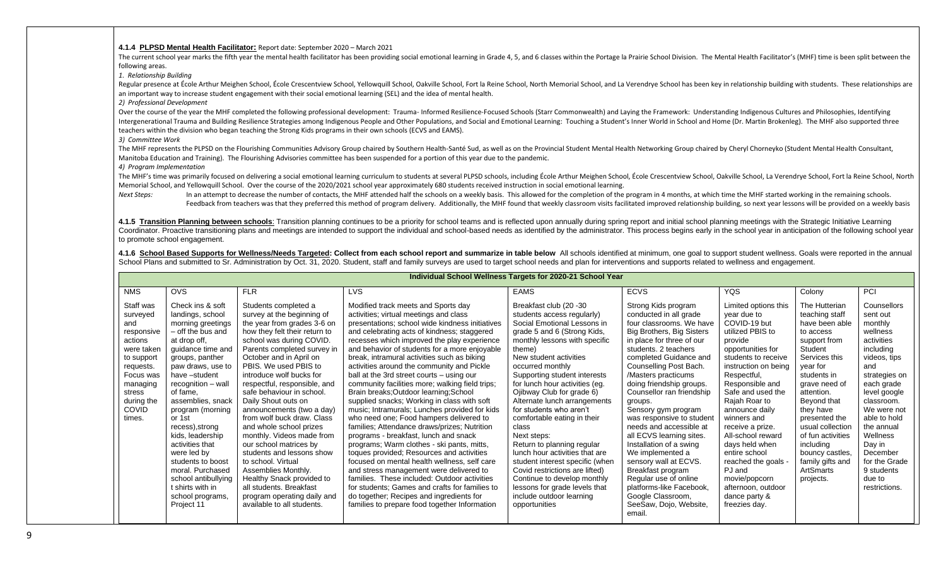#### **4.1.4 PLPSD Mental Health Facilitator:** Report date: September 2020 – March 2021

The current school year marks the fifth year the mental health facilitator has been providing social emotional learning in Grade 4, 5, and 6 classes within the Portage la Prairie School Division. The Mental Health Facilita following areas.

*1. Relationship Building*

Regular presence at École Arthur Meighen School, École Crescentview School, Yellowquill School, Oakville School, Fort la Reine School, North Memorial School, and La Verendrye School has been key in relationship building wi an important way to increase student engagement with their social emotional learning (SEL) and the idea of mental health.

*2) Professional Development*

Over the course of the year the MHF completed the following professional development: Trauma-Informed Resilience-Focused Schools (Starr Commonwealth) and Laying the Framework: Understanding Indigenous Cultures and Philosop Intergenerational Trauma and Building Resilience Strategies among Indigenous People and Other Populations, and Social and Emotional Learning: Touching a Student's Inner World in School and Home (Dr. Martin Brokenleg). The teachers within the division who began teaching the Strong Kids programs in their own schools (ECVS and EAMS).

*3) Committee Work*

The MHF represents the PLPSD on the Flourishing Communities Advisory Group chaired by Southern Health-Santé Sud, as well as on the Provincial Student Mental Health Networking Group chaired by Cheryl Chorneyko (Student Ment Manitoba Education and Training). The Flourishing Advisories committee has been suspended for a portion of this year due to the pandemic.

*4) Program Implementation*

The MHF's time was primarily focused on delivering a social emotional learning curriculum to students at several PLPSD schools, including École Arthur Meighen School, École Crescentview School, Oakville School, La Verendry Memorial School, and Yellowquill School. Over the course of the 2020/2021 school year approximately 680 students received instruction in social emotional learning.

Next Steps: In an attempt to decrease the number of contacts, the MHF attended half the schools on a weekly basis. This allowed for the completion of the program in 4 months, at which time the MHF started working in the re Feedback from teachers was that they preferred this method of program delivery. Additionally, the MHF found that weekly classroom visits facilitated improved relationship building, so next year lessons will be provided on

4.1.5 Transition Planning between schools: Transition planning continues to be a priority for school teams and is reflected upon annually during spring report and initial school planning meetings with the Strategic Initiat Coordinator. Proactive transitioning plans and meetings are intended to support the individual and school-based needs as identified by the administrator. This process begins early in the school year in anticipation of the to promote school engagement.

4.1.6 School Based Supports for Wellness/Needs Targeted: Collect from each school report and summarize in table below All schools identified at minimum, one goal to support student wellness. Goals were reported in the annu School Plans and submitted to Sr. Administration by Oct. 31, 2020. Student, staff and family surveys are used to target school needs and plan for interventions and supports related to wellness and engagement.

|                                                                                                                                                                           | Individual School Wellness Targets for 2020-21 School Year                                                                                                                                                                                                                                                                                                                                                                                                       |                                                                                                                                                                                                                                                                                                                                                                                                                                                                                                                                                                                                                                                                                               |                                                                                                                                                                                                                                                                                                                                                                                                                                                                                                                                                                                                                                                                                                                                                                                                                                                                                                                                                                                                                                                                                                                                                 |                                                                                                                                                                                                                                                                                                                                                                                                                                                                                                                                                                                                                                                                                |                                                                                                                                                                                                                                                                                                                                                                                                                                                                                                                                                                                                                                  |                                                                                                                                                                                                                                                                                                                                                                                                                                                       |                                                                                                                                                                                                                                                                                                                                          |                                                                                                                                                                                                                                                                                                        |
|---------------------------------------------------------------------------------------------------------------------------------------------------------------------------|------------------------------------------------------------------------------------------------------------------------------------------------------------------------------------------------------------------------------------------------------------------------------------------------------------------------------------------------------------------------------------------------------------------------------------------------------------------|-----------------------------------------------------------------------------------------------------------------------------------------------------------------------------------------------------------------------------------------------------------------------------------------------------------------------------------------------------------------------------------------------------------------------------------------------------------------------------------------------------------------------------------------------------------------------------------------------------------------------------------------------------------------------------------------------|-------------------------------------------------------------------------------------------------------------------------------------------------------------------------------------------------------------------------------------------------------------------------------------------------------------------------------------------------------------------------------------------------------------------------------------------------------------------------------------------------------------------------------------------------------------------------------------------------------------------------------------------------------------------------------------------------------------------------------------------------------------------------------------------------------------------------------------------------------------------------------------------------------------------------------------------------------------------------------------------------------------------------------------------------------------------------------------------------------------------------------------------------|--------------------------------------------------------------------------------------------------------------------------------------------------------------------------------------------------------------------------------------------------------------------------------------------------------------------------------------------------------------------------------------------------------------------------------------------------------------------------------------------------------------------------------------------------------------------------------------------------------------------------------------------------------------------------------|----------------------------------------------------------------------------------------------------------------------------------------------------------------------------------------------------------------------------------------------------------------------------------------------------------------------------------------------------------------------------------------------------------------------------------------------------------------------------------------------------------------------------------------------------------------------------------------------------------------------------------|-------------------------------------------------------------------------------------------------------------------------------------------------------------------------------------------------------------------------------------------------------------------------------------------------------------------------------------------------------------------------------------------------------------------------------------------------------|------------------------------------------------------------------------------------------------------------------------------------------------------------------------------------------------------------------------------------------------------------------------------------------------------------------------------------------|--------------------------------------------------------------------------------------------------------------------------------------------------------------------------------------------------------------------------------------------------------------------------------------------------------|
| <b>NMS</b>                                                                                                                                                                | <b>OVS</b>                                                                                                                                                                                                                                                                                                                                                                                                                                                       | <b>FLR</b>                                                                                                                                                                                                                                                                                                                                                                                                                                                                                                                                                                                                                                                                                    | <b>LVS</b>                                                                                                                                                                                                                                                                                                                                                                                                                                                                                                                                                                                                                                                                                                                                                                                                                                                                                                                                                                                                                                                                                                                                      | <b>EAMS</b>                                                                                                                                                                                                                                                                                                                                                                                                                                                                                                                                                                                                                                                                    | <b>ECVS</b>                                                                                                                                                                                                                                                                                                                                                                                                                                                                                                                                                                                                                      | <b>YQS</b>                                                                                                                                                                                                                                                                                                                                                                                                                                            | Colony                                                                                                                                                                                                                                                                                                                                   | PCI                                                                                                                                                                                                                                                                                                    |
| Staff was<br>surveyed<br>and<br>responsive<br>actions<br>were taken<br>to support<br>requests.<br>Focus was<br>managing<br>stress<br>during the<br><b>COVID</b><br>times. | Check ins & soft<br>landings, school<br>morning greetings<br>- off the bus and<br>at drop off,<br>guidance time and<br>groups, panther<br>paw draws, use to<br>have -student<br>recognition - wall<br>of fame.<br>assemblies, snack<br>program (morning<br>or 1st<br>recess), strong<br>kids, leadership<br>activities that<br>were led by<br>students to boost<br>moral. Purchased<br>school antibullying<br>t shirts with in<br>school programs,<br>Project 11 | Students completed a<br>survey at the beginning of<br>the year from grades 3-6 on<br>how they felt their return to<br>school was during COVID.<br>Parents completed survey in<br>October and in April on<br>PBIS. We used PBIS to<br>introduce wolf bucks for<br>respectful, responsible, and<br>safe behaviour in school.<br>Daily Shout outs on<br>announcements (two a day)<br>from wolf buck draw. Class<br>and whole school prizes<br>monthly. Videos made from<br>our school matrices by<br>students and lessons show<br>to school. Virtual<br>Assemblies Monthly.<br>Healthy Snack provided to<br>all students. Breakfast<br>program operating daily and<br>available to all students. | Modified track meets and Sports day<br>activities; virtual meetings and class<br>presentations; school wide kindness initiatives<br>and celebrating acts of kindness; staggered<br>recesses which improved the play experience<br>and behavior of students for a more enjoyable<br>break, intramural activities such as biking<br>activities around the community and Pickle<br>ball at the 3rd street courts – using our<br>community facilities more; walking field trips;<br>Brain breaks; Outdoor learning; School<br>supplied snacks; Working in class with soft<br>music; Intramurals; Lunches provided for kids<br>who need one; Food hampers delivered to<br>families; Attendance draws/prizes; Nutrition<br>programs - breakfast, lunch and snack<br>programs; Warm clothes - ski pants, mitts,<br>toques provided; Resources and activities<br>focused on mental health wellness, self care<br>and stress management were delivered to<br>families. These included: Outdoor activities<br>for students; Games and crafts for families to<br>do together; Recipes and ingredients for<br>families to prepare food together Information | Breakfast club (20 -30<br>students access regularly)<br>Social Emotional Lessons in<br>grade 5 and 6 (Strong Kids,<br>monthly lessons with specific<br>theme)<br>New student activities<br>occurred monthly<br>Supporting student interests<br>for lunch hour activities (eg.<br>Ojibway Club for grade 6)<br>Alternate lunch arrangements<br>for students who aren't<br>comfortable eating in their<br>class<br>Next steps:<br>Return to planning regular<br>lunch hour activities that are<br>student interest specific (when<br>Covid restrictions are lifted)<br>Continue to develop monthly<br>lessons for grade levels that<br>include outdoor learning<br>opportunities | Strong Kids program<br>conducted in all grade<br>four classrooms. We have<br>Big Brothers, Big Sisters<br>in place for three of our<br>students, 2 teachers<br>completed Guidance and<br>Counselling Post Bach.<br>/Masters practicums<br>doing friendship groups.<br>Counsellor ran friendship<br>groups.<br>Sensory gym program<br>was responsive to student<br>needs and accessible at<br>all ECVS learning sites.<br>Installation of a swing<br>We implemented a<br>sensory wall at ECVS.<br>Breakfast program<br>Regular use of online<br>platforms-like Facebook,<br>Google Classroom,<br>SeeSaw, Dojo, Website,<br>email. | Limited options this<br>vear due to<br>COVID-19 but<br>utilized PBIS to<br>provide<br>opportunities for<br>students to receive<br>instruction on being<br>Respectful,<br>Responsible and<br>Safe and used the<br>Rajah Roar to<br>announce daily<br>winners and<br>receive a prize.<br>All-school reward<br>days held when<br>entire school<br>reached the goals -<br>PJ and<br>movie/popcorn<br>afternoon, outdoor<br>dance party &<br>freezies day. | The Hutterian<br>teaching staff<br>have been able<br>to access<br>support from<br>Student<br>Services this<br>vear for<br>students in<br>grave need of<br>attention.<br>Beyond that<br>they have<br>presented the<br>usual collection<br>of fun activities<br>including<br>bouncy castles,<br>family gifts and<br>ArtSmarts<br>projects. | Counsellors<br>sent out<br>monthly<br>wellness<br>activities<br>including<br>videos, tips<br>and<br>strategies on<br>each grade<br>level google<br>classroom.<br>We were not<br>able to hold<br>the annual<br>Wellness<br>Day in<br>December<br>for the Grade<br>9 students<br>due to<br>restrictions. |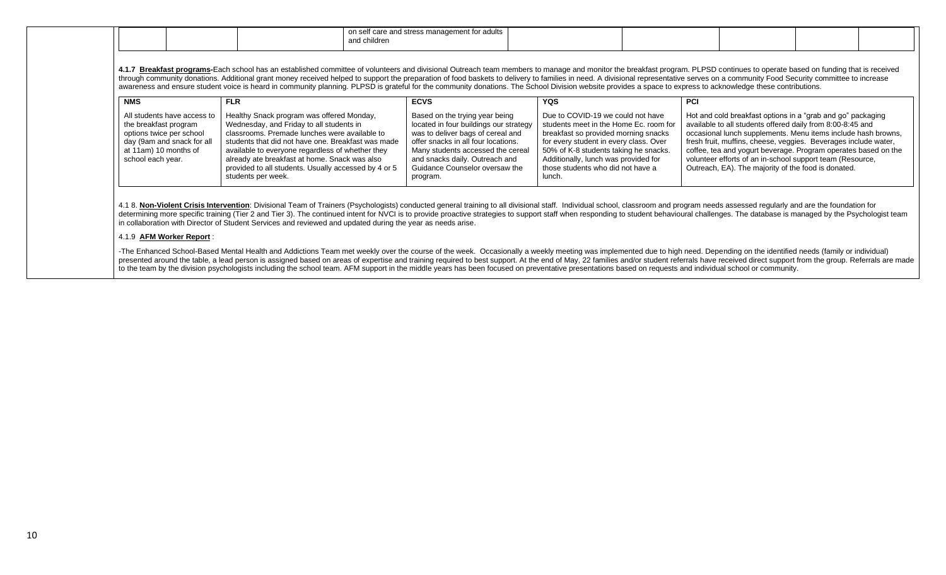| <b>NMS</b>                                                                                                                                                   | <b>FLR</b>                                                                                                                                                                                                                                                                                                                                                                      | <b>ECVS</b>                                                                                                                                                                                                                                                               | <b>YQS</b>                                                                                                                                                                                                                                                                                    | <b>PCI</b>                                                                                                                                                                                                                                                                                                                                                                                                                                          |
|--------------------------------------------------------------------------------------------------------------------------------------------------------------|---------------------------------------------------------------------------------------------------------------------------------------------------------------------------------------------------------------------------------------------------------------------------------------------------------------------------------------------------------------------------------|---------------------------------------------------------------------------------------------------------------------------------------------------------------------------------------------------------------------------------------------------------------------------|-----------------------------------------------------------------------------------------------------------------------------------------------------------------------------------------------------------------------------------------------------------------------------------------------|-----------------------------------------------------------------------------------------------------------------------------------------------------------------------------------------------------------------------------------------------------------------------------------------------------------------------------------------------------------------------------------------------------------------------------------------------------|
| All students have access to<br>the breakfast program<br>options twice per school<br>day (9am and snack for all<br>at 11am) 10 months of<br>school each year. | Healthy Snack program was offered Monday,<br>Wednesday, and Friday to all students in<br>classrooms. Premade lunches were available to<br>students that did not have one. Breakfast was made<br>available to everyone regardless of whether they<br>already ate breakfast at home. Snack was also<br>provided to all students. Usually accessed by 4 or 5<br>students per week. | Based on the trying year being<br>located in four buildings our strategy<br>was to deliver bags of cereal and<br>offer snacks in all four locations.<br>Many students accessed the cereal<br>and snacks daily. Outreach and<br>Guidance Counselor oversaw the<br>program. | Due to COVID-19 we could not have<br>students meet in the Home Ec. room for<br>breakfast so provided morning snacks<br>for every student in every class. Over<br>50% of K-8 students taking he snacks.<br>Additionally, lunch was provided for<br>those students who did not have a<br>lunch. | Hot and cold breakfast options in a "grab and go" packaging<br>available to all students offered daily from 8:00-8:45 and<br>occasional lunch supplements. Menu items include hash browns,<br>fresh fruit, muffins, cheese, veggies. Beverages include water,<br>coffee, tea and yogurt beverage. Program operates based on the<br>volunteer efforts of an in-school support team (Resource,<br>Outreach, EA). The majority of the food is donated. |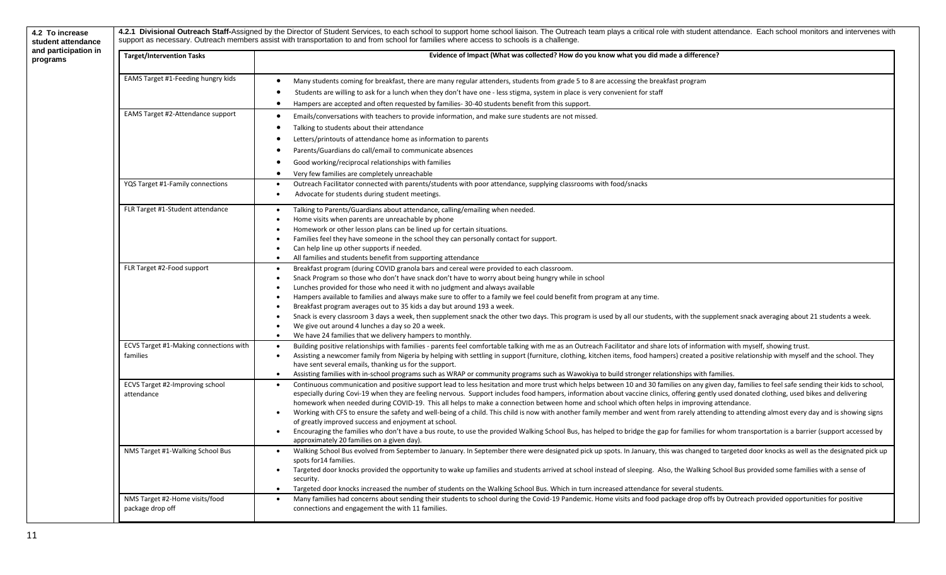| <b>Target/Intervention Tasks</b>       | Evidence of Impact (What was collected? How do you know what you did made a difference?                                                                                                                                                                             |
|----------------------------------------|---------------------------------------------------------------------------------------------------------------------------------------------------------------------------------------------------------------------------------------------------------------------|
| EAMS Target #1-Feeding hungry kids     | Many students coming for breakfast, there are many regular attenders, students from grade 5 to 8 are accessing the breakfast program<br>$\bullet$                                                                                                                   |
|                                        | Students are willing to ask for a lunch when they don't have one - less stigma, system in place is very convenient for staff                                                                                                                                        |
|                                        | Hampers are accepted and often requested by families-30-40 students benefit from this support.<br>$\bullet$                                                                                                                                                         |
| EAMS Target #2-Attendance support      | Emails/conversations with teachers to provide information, and make sure students are not missed.<br>$\bullet$                                                                                                                                                      |
|                                        | Talking to students about their attendance<br>$\bullet$                                                                                                                                                                                                             |
|                                        | Letters/printouts of attendance home as information to parents                                                                                                                                                                                                      |
|                                        | Parents/Guardians do call/email to communicate absences                                                                                                                                                                                                             |
|                                        | Good working/reciprocal relationships with families<br>$\bullet$                                                                                                                                                                                                    |
|                                        |                                                                                                                                                                                                                                                                     |
| YQS Target #1-Family connections       | Very few families are completely unreachable<br>$\bullet$<br>Outreach Facilitator connected with parents/students with poor attendance, supplying classrooms with food/snacks<br>$\bullet$                                                                          |
|                                        | Advocate for students during student meetings.<br>$\bullet$                                                                                                                                                                                                         |
|                                        |                                                                                                                                                                                                                                                                     |
| FLR Target #1-Student attendance       | Talking to Parents/Guardians about attendance, calling/emailing when needed.                                                                                                                                                                                        |
|                                        | Home visits when parents are unreachable by phone<br>Homework or other lesson plans can be lined up for certain situations.                                                                                                                                         |
|                                        | Families feel they have someone in the school they can personally contact for support.                                                                                                                                                                              |
|                                        | Can help line up other supports if needed.<br>$\bullet$                                                                                                                                                                                                             |
|                                        | All families and students benefit from supporting attendance                                                                                                                                                                                                        |
| FLR Target #2-Food support             | Breakfast program (during COVID granola bars and cereal were provided to each classroom.<br>$\bullet$                                                                                                                                                               |
|                                        | Snack Program so those who don't have snack don't have to worry about being hungry while in school<br>$\bullet$                                                                                                                                                     |
|                                        | Lunches provided for those who need it with no judgment and always available                                                                                                                                                                                        |
|                                        | Hampers available to families and always make sure to offer to a family we feel could benefit from program at any time.                                                                                                                                             |
|                                        | Breakfast program averages out to 35 kids a day but around 193 a week.                                                                                                                                                                                              |
|                                        | Snack is every classroom 3 days a week, then supplement snack the other two days. This program is used by all our students, with the supplement snack averaging about 21 students a week.<br>$\bullet$                                                              |
|                                        | We give out around 4 lunches a day so 20 a week.                                                                                                                                                                                                                    |
| ECVS Target #1-Making connections with | We have 24 families that we delivery hampers to monthly.<br>$\bullet$<br>Building positive relationships with families - parents feel comfortable talking with me as an Outreach Facilitator and share lots of information with myself, showing trust.<br>$\bullet$ |
| families                               | Assisting a newcomer family from Nigeria by helping with settling in support (furniture, clothing, kitchen items, food hampers) created a positive relationship with myself and the school. They<br>$\bullet$                                                       |
|                                        | have sent several emails, thanking us for the support.                                                                                                                                                                                                              |
|                                        | Assisting families with in-school programs such as WRAP or community programs such as Wawokiya to build stronger relationships with families.<br>$\bullet$                                                                                                          |
| ECVS Target #2-Improving school        | Continuous communication and positive support lead to less hesitation and more trust which helps between 10 and 30 families on any given day, families to feel safe sending their kids to school,<br>$\bullet$                                                      |
| attendance                             | especially during Covi-19 when they are feeling nervous. Support includes food hampers, information about vaccine clinics, offering gently used donated clothing, used bikes and delivering                                                                         |
|                                        | homework when needed during COVID-19. This all helps to make a connection between home and school which often helps in improving attendance.                                                                                                                        |
|                                        | Working with CFS to ensure the safety and well-being of a child. This child is now with another family member and went from rarely attending to attending almost every day and is showing signs<br>$\bullet$                                                        |
|                                        | of greatly improved success and enjoyment at school.                                                                                                                                                                                                                |
|                                        | Encouraging the families who don't have a bus route, to use the provided Walking School Bus, has helped to bridge the gap for families for whom transportation is a barrier (support accessed by<br>approximately 20 families on a given day).                      |
| NMS Target #1-Walking School Bus       | $\bullet$<br>Walking School Bus evolved from September to January. In September there were designated pick up spots. In January, this was changed to targeted door knocks as well as the designated pick up                                                         |
|                                        | spots for 14 families.                                                                                                                                                                                                                                              |
|                                        | Targeted door knocks provided the opportunity to wake up families and students arrived at school instead of sleeping. Also, the Walking School Bus provided some families with a sense of<br>$\bullet$                                                              |
|                                        | security.                                                                                                                                                                                                                                                           |
|                                        | Targeted door knocks increased the number of students on the Walking School Bus. Which in turn increased attendance for several students.<br>$\bullet$                                                                                                              |
| NMS Target #2-Home visits/food         | Many families had concerns about sending their students to school during the Covid-19 Pandemic. Home visits and food package drop offs by Outreach provided opportunities for positive<br>$\bullet$                                                                 |
| package drop off                       | connections and engagement the with 11 families.                                                                                                                                                                                                                    |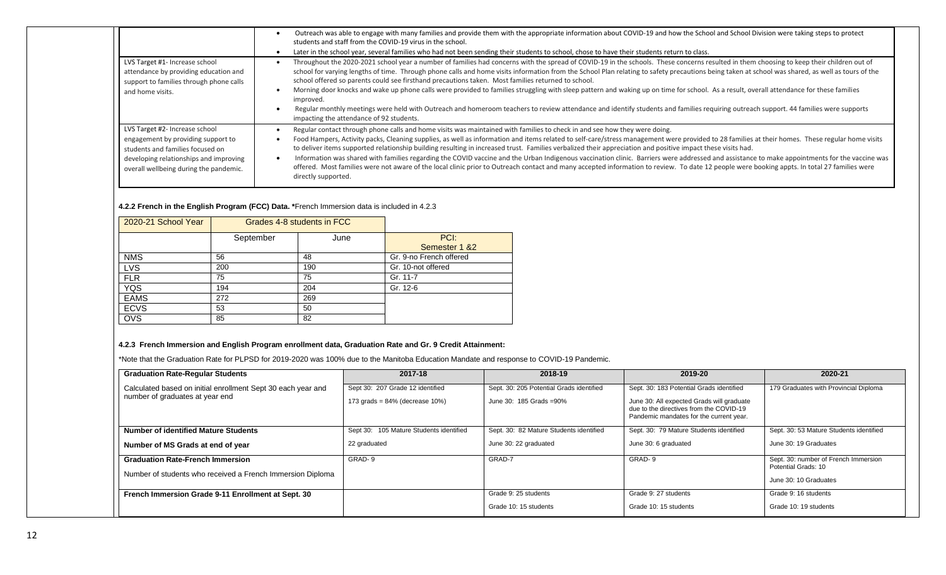|                                                                                                                                                                                              | Outreach was able to engage with many families and provide them with the appropriate information about COVID-19 and how the School and School Division were taking steps to protect<br>students and staff from the COVID-19 virus in the school.<br>Later in the school year, several families who had not been sending their students to school, chose to have their students return to class.                                                                                                                                                                                                                                                                                                                                                                                                                                                                                                                                                   |
|----------------------------------------------------------------------------------------------------------------------------------------------------------------------------------------------|---------------------------------------------------------------------------------------------------------------------------------------------------------------------------------------------------------------------------------------------------------------------------------------------------------------------------------------------------------------------------------------------------------------------------------------------------------------------------------------------------------------------------------------------------------------------------------------------------------------------------------------------------------------------------------------------------------------------------------------------------------------------------------------------------------------------------------------------------------------------------------------------------------------------------------------------------|
| LVS Target #1- Increase school<br>attendance by providing education and<br>support to families through phone calls<br>and home visits.                                                       | Throughout the 2020-2021 school year a number of families had concerns with the spread of COVID-19 in the schools. These concerns resulted in them choosing to keep their children out of<br>school for varying lengths of time. Through phone calls and home visits information from the School Plan relating to safety precautions being taken at school was shared, as well as tours of the<br>school offered so parents could see firsthand precautions taken. Most families returned to school.<br>Morning door knocks and wake up phone calls were provided to families struggling with sleep pattern and waking up on time for school. As a result, overall attendance for these families<br>improved.<br>Regular monthly meetings were held with Outreach and homeroom teachers to review attendance and identify students and families requiring outreach support. 44 families were supports<br>impacting the attendance of 92 students. |
| LVS Target #2- Increase school<br>engagement by providing support to<br>students and families focused on<br>developing relationships and improving<br>overall wellbeing during the pandemic. | Regular contact through phone calls and home visits was maintained with families to check in and see how they were doing.<br>Food Hampers, Activity packs, Cleaning supplies, as well as information and items related to self-care/stress management were provided to 28 families at their homes. These regular home visits<br>to deliver items supported relationship building resulting in increased trust. Families verbalized their appreciation and positive impact these visits had.<br>Information was shared with families regarding the COVID vaccine and the Urban Indigenous vaccination clinic. Barriers were addressed and assistance to make appointments for the vaccine was<br>offered. Most families were not aware of the local clinic prior to Outreach contact and many accepted information to review. To date 12 people were booking appts. In total 27 families were<br>directly supported.                               |

#### **4.2.2 French in the English Program (FCC) Data. \***French Immersion data is included in 4.2.3

| 2020-21 School Year | Grades 4-8 students in FCC |      |                         |
|---------------------|----------------------------|------|-------------------------|
|                     | September                  | June | PCI:                    |
|                     |                            |      | Semester 1 & 2          |
| <b>NMS</b>          | 56                         | 48   | Gr. 9-no French offered |
| <b>LVS</b>          | 200                        | 190  | Gr. 10-not offered      |
| <b>FLR</b>          | 75                         | 75   | Gr. 11-7                |
| <b>YQS</b>          | 194                        | 204  | Gr. 12-6                |
| <b>EAMS</b>         | 272                        | 269  |                         |
| <b>ECVS</b>         | 53                         | 50   |                         |
| <b>OVS</b>          | 85                         | 82   |                         |

#### **4.2.3 French Immersion and English Program enrollment data, Graduation Rate and Gr. 9 Credit Attainment:**

\*Note that the Graduation Rate for PLPSD for 2019-2020 was 100% due to the Manitoba Education Mandate and response to COVID-19 Pandemic.

| <b>Graduation Rate-Regular Students</b>                      | 2017-18                                 | 2018-19                                  | 2019-20                                                                                                                         | 2020-21                                                     |
|--------------------------------------------------------------|-----------------------------------------|------------------------------------------|---------------------------------------------------------------------------------------------------------------------------------|-------------------------------------------------------------|
| Calculated based on initial enrollment Sept 30 each year and | Sept 30: 207 Grade 12 identified        | Sept. 30: 205 Potential Grads identified | Sept. 30: 183 Potential Grads identified                                                                                        | 179 Graduates with Provincial Diploma                       |
| number of graduates at year end                              | 173 grads = $84\%$ (decrease $10\%$ )   | June 30: 185 Grads = 90%                 | June 30: All expected Grads will graduate<br>due to the directives from the COVID-19<br>Pandemic mandates for the current year. |                                                             |
| Number of identified Mature Students                         | Sept 30: 105 Mature Students identified | Sept. 30: 82 Mature Students identified  | Sept. 30: 79 Mature Students identified                                                                                         | Sept. 30: 53 Mature Students identified                     |
| Number of MS Grads at end of year                            | 22 graduated                            | June 30: 22 graduated                    | June 30: 6 graduated                                                                                                            | June 30: 19 Graduates                                       |
| <b>Graduation Rate-French Immersion</b>                      | GRAD-9                                  | GRAD-7                                   | GRAD-9                                                                                                                          | Sept. 30: number of French Immersion<br>Potential Grads: 10 |
| Number of students who received a French Immersion Diploma   |                                         |                                          |                                                                                                                                 | June 30: 10 Graduates                                       |
| French Immersion Grade 9-11 Enrollment at Sept. 30           |                                         | Grade 9: 25 students                     | Grade 9: 27 students                                                                                                            | Grade 9: 16 students                                        |
|                                                              |                                         | Grade 10: 15 students                    | Grade 10: 15 students                                                                                                           | Grade 10: 19 students                                       |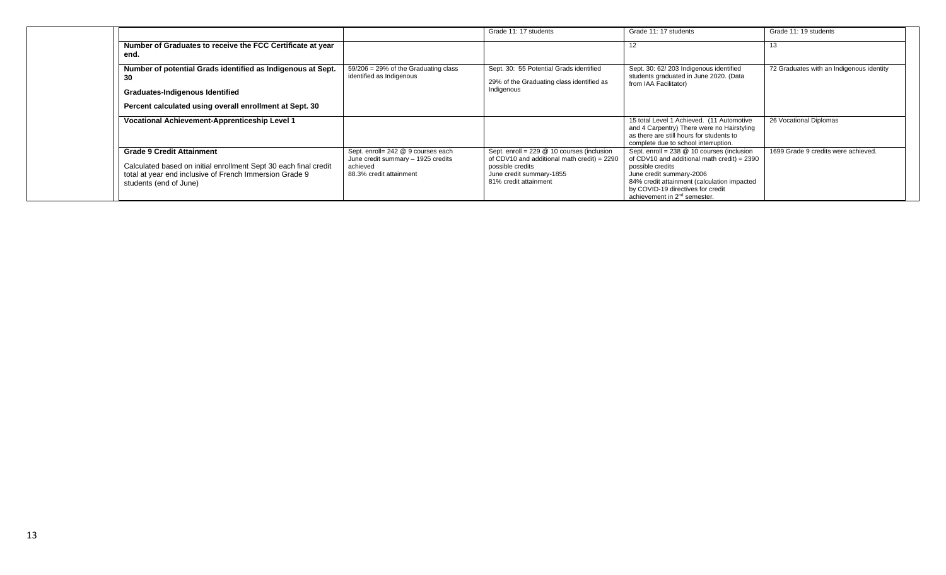|                                                                                                                                                                                           |                                                                                                                 | Grade 11: 17 students                                                                                                                                                | Grade 11: 17 students                                                                                                                                                                                                                                                         | Grade 11: 19 students                    |
|-------------------------------------------------------------------------------------------------------------------------------------------------------------------------------------------|-----------------------------------------------------------------------------------------------------------------|----------------------------------------------------------------------------------------------------------------------------------------------------------------------|-------------------------------------------------------------------------------------------------------------------------------------------------------------------------------------------------------------------------------------------------------------------------------|------------------------------------------|
| Number of Graduates to receive the FCC Certificate at year<br>end.                                                                                                                        |                                                                                                                 |                                                                                                                                                                      |                                                                                                                                                                                                                                                                               |                                          |
| Number of potential Grads identified as Indigenous at Sept.<br>-30<br><b>Graduates-Indigenous Identified</b><br>Percent calculated using overall enrollment at Sept. 30                   | $59/206 = 29\%$ of the Graduating class<br>identified as Indigenous                                             | Sept. 30: 55 Potential Grads identified<br>29% of the Graduating class identified as<br>Indigenous                                                                   | Sept. 30: 62/203 Indigenous identified<br>students graduated in June 2020. (Data<br>from IAA Facilitator)                                                                                                                                                                     | 72 Graduates with an Indigenous identity |
| <b>Vocational Achievement-Apprenticeship Level 1</b>                                                                                                                                      |                                                                                                                 |                                                                                                                                                                      | 15 total Level 1 Achieved. (11 Automotive<br>and 4 Carpentry) There were no Hairstyling<br>as there are still hours for students to<br>complete due to school interruption.                                                                                                   | 26 Vocational Diplomas                   |
| <b>Grade 9 Credit Attainment</b><br>Calculated based on initial enrollment Sept 30 each final credit<br>total at year end inclusive of French Immersion Grade 9<br>students (end of June) | Sept. enroll= 242 @ 9 courses each<br>June credit summary - 1925 credits<br>achieved<br>88.3% credit attainment | Sept. enroll = 229 @ 10 courses (inclusion<br>of CDV10 and additional math credit) = $2290$<br>possible credits<br>June credit summary-1855<br>81% credit attainment | Sept. enroll = $238$ @ 10 courses (inclusion<br>of CDV10 and additional math credit) = $2390$<br>possible credits<br>June credit summary-2006<br>84% credit attainment (calculation impacted<br>by COVID-19 directives for credit<br>achievement in 2 <sup>nd</sup> semester. | 1699 Grade 9 credits were achieved.      |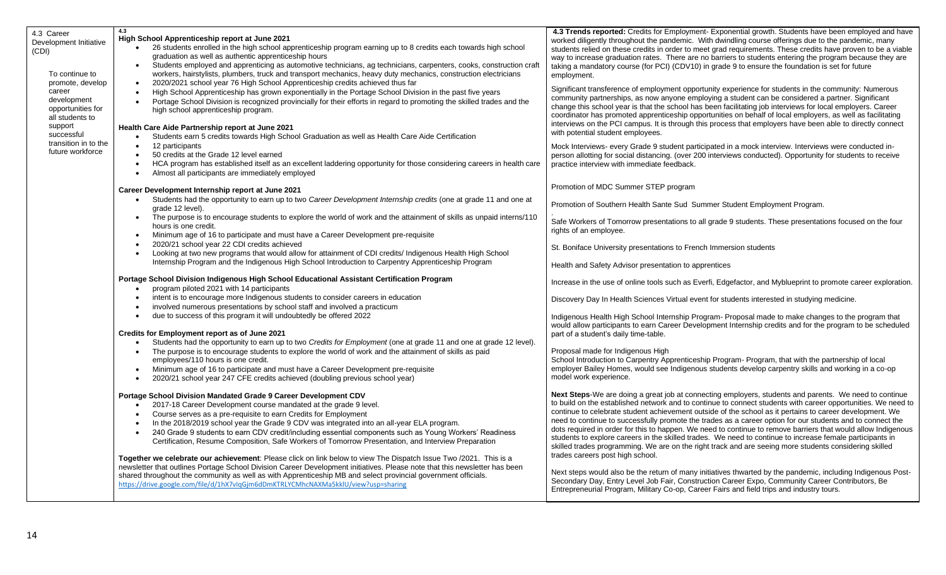| 4.3 Career<br>Development Initiative<br>(CDI)<br>To continue to<br>promote, develop                                                | 4.3<br>High School Apprenticeship report at June 2021<br>26 students enrolled in the high school apprenticeship program earning up to 8 credits each towards high school<br>graduation as well as authentic apprenticeship hours<br>Students employed and apprenticing as automotive technicians, ag technicians, carpenters, cooks, construction craft<br>workers, hairstylists, plumbers, truck and transport mechanics, heavy duty mechanics, construction electricians<br>2020/2021 school year 76 High School Apprenticeship credits achieved thus far                                                                                                                                                                                                                                                                                                                                                         | 4.3 Trends reported: Credits for Employment- Exponential growth. Students have been employed and have<br>worked diligently throughout the pandemic. With dwindling course offerings due to the pandemic, many<br>students relied on these credits in order to meet grad requirements. These credits have proven to be a viable<br>way to increase graduation rates. There are no barriers to students entering the program because they are<br>taking a mandatory course (for PCI) (CDV10) in grade 9 to ensure the foundation is set for future<br>employment.                                                                                                                                                                                                                                                                                                                                                                               |  |  |
|------------------------------------------------------------------------------------------------------------------------------------|---------------------------------------------------------------------------------------------------------------------------------------------------------------------------------------------------------------------------------------------------------------------------------------------------------------------------------------------------------------------------------------------------------------------------------------------------------------------------------------------------------------------------------------------------------------------------------------------------------------------------------------------------------------------------------------------------------------------------------------------------------------------------------------------------------------------------------------------------------------------------------------------------------------------|-----------------------------------------------------------------------------------------------------------------------------------------------------------------------------------------------------------------------------------------------------------------------------------------------------------------------------------------------------------------------------------------------------------------------------------------------------------------------------------------------------------------------------------------------------------------------------------------------------------------------------------------------------------------------------------------------------------------------------------------------------------------------------------------------------------------------------------------------------------------------------------------------------------------------------------------------|--|--|
| career<br>development<br>opportunities for<br>all students to<br>support<br>successful<br>transition in to the<br>future workforce | High School Apprenticeship has grown exponentially in the Portage School Division in the past five years<br>Portage School Division is recognized provincially for their efforts in regard to promoting the skilled trades and the<br>high school apprenticeship program.<br>Health Care Aide Partnership report at June 2021<br>Students earn 5 credits towards High School Graduation as well as Health Care Aide Certification                                                                                                                                                                                                                                                                                                                                                                                                                                                                                   | Significant transference of employment opportunity experience for students in the community: Numerous<br>community partnerships, as now anyone employing a student can be considered a partner. Significant<br>change this school year is that the school has been facilitating job interviews for local employers. Career<br>coordinator has promoted apprenticeship opportunities on behalf of local employers, as well as facilitating<br>interviews on the PCI campus. It is through this process that employers have been able to directly connect<br>with potential student employees.                                                                                                                                                                                                                                                                                                                                                  |  |  |
|                                                                                                                                    | 12 participants<br>50 credits at the Grade 12 level earned<br>HCA program has established itself as an excellent laddering opportunity for those considering careers in health care<br>Almost all participants are immediately employed<br>$\bullet$                                                                                                                                                                                                                                                                                                                                                                                                                                                                                                                                                                                                                                                                | Mock Interviews- every Grade 9 student participated in a mock interview. Interviews were conducted in-<br>person allotting for social distancing. (over 200 interviews conducted). Opportunity for students to receive<br>practice interview with immediate feedback.                                                                                                                                                                                                                                                                                                                                                                                                                                                                                                                                                                                                                                                                         |  |  |
|                                                                                                                                    |                                                                                                                                                                                                                                                                                                                                                                                                                                                                                                                                                                                                                                                                                                                                                                                                                                                                                                                     | Promotion of MDC Summer STEP program                                                                                                                                                                                                                                                                                                                                                                                                                                                                                                                                                                                                                                                                                                                                                                                                                                                                                                          |  |  |
|                                                                                                                                    | Career Development Internship report at June 2021<br>Students had the opportunity to earn up to two Career Development Internship credits (one at grade 11 and one at<br>$\bullet$<br>grade 12 level).                                                                                                                                                                                                                                                                                                                                                                                                                                                                                                                                                                                                                                                                                                              | Promotion of Southern Health Sante Sud Summer Student Employment Program.                                                                                                                                                                                                                                                                                                                                                                                                                                                                                                                                                                                                                                                                                                                                                                                                                                                                     |  |  |
|                                                                                                                                    | The purpose is to encourage students to explore the world of work and the attainment of skills as unpaid interns/110<br>$\bullet$<br>hours is one credit.<br>Minimum age of 16 to participate and must have a Career Development pre-requisite                                                                                                                                                                                                                                                                                                                                                                                                                                                                                                                                                                                                                                                                      | Safe Workers of Tomorrow presentations to all grade 9 students. These presentations focused on the four<br>rights of an employee.                                                                                                                                                                                                                                                                                                                                                                                                                                                                                                                                                                                                                                                                                                                                                                                                             |  |  |
|                                                                                                                                    | 2020/21 school year 22 CDI credits achieved<br>Looking at two new programs that would allow for attainment of CDI credits/ Indigenous Health High School                                                                                                                                                                                                                                                                                                                                                                                                                                                                                                                                                                                                                                                                                                                                                            | St. Boniface University presentations to French Immersion students                                                                                                                                                                                                                                                                                                                                                                                                                                                                                                                                                                                                                                                                                                                                                                                                                                                                            |  |  |
|                                                                                                                                    | Internship Program and the Indigenous High School Introduction to Carpentry Apprenticeship Program                                                                                                                                                                                                                                                                                                                                                                                                                                                                                                                                                                                                                                                                                                                                                                                                                  | Health and Safety Advisor presentation to apprentices                                                                                                                                                                                                                                                                                                                                                                                                                                                                                                                                                                                                                                                                                                                                                                                                                                                                                         |  |  |
|                                                                                                                                    | Portage School Division Indigenous High School Educational Assistant Certification Program<br>program piloted 2021 with 14 participants<br>$\bullet$                                                                                                                                                                                                                                                                                                                                                                                                                                                                                                                                                                                                                                                                                                                                                                | Increase in the use of online tools such as Everfi, Edgefactor, and Myblueprint to promote career exploration.                                                                                                                                                                                                                                                                                                                                                                                                                                                                                                                                                                                                                                                                                                                                                                                                                                |  |  |
|                                                                                                                                    | intent is to encourage more Indigenous students to consider careers in education<br>involved numerous presentations by school staff and involved a practicum                                                                                                                                                                                                                                                                                                                                                                                                                                                                                                                                                                                                                                                                                                                                                        | Discovery Day In Health Sciences Virtual event for students interested in studying medicine.                                                                                                                                                                                                                                                                                                                                                                                                                                                                                                                                                                                                                                                                                                                                                                                                                                                  |  |  |
|                                                                                                                                    | due to success of this program it will undoubtedly be offered 2022                                                                                                                                                                                                                                                                                                                                                                                                                                                                                                                                                                                                                                                                                                                                                                                                                                                  | Indigenous Health High School Internship Program- Proposal made to make changes to the program that<br>would allow participants to earn Career Development Internship credits and for the program to be scheduled                                                                                                                                                                                                                                                                                                                                                                                                                                                                                                                                                                                                                                                                                                                             |  |  |
|                                                                                                                                    | Credits for Employment report as of June 2021<br>Students had the opportunity to earn up to two Credits for Employment (one at grade 11 and one at grade 12 level).                                                                                                                                                                                                                                                                                                                                                                                                                                                                                                                                                                                                                                                                                                                                                 | part of a student's daily time-table.                                                                                                                                                                                                                                                                                                                                                                                                                                                                                                                                                                                                                                                                                                                                                                                                                                                                                                         |  |  |
|                                                                                                                                    | The purpose is to encourage students to explore the world of work and the attainment of skills as paid<br>employees/110 hours is one credit.<br>Minimum age of 16 to participate and must have a Career Development pre-requisite<br>2020/21 school year 247 CFE credits achieved (doubling previous school year)                                                                                                                                                                                                                                                                                                                                                                                                                                                                                                                                                                                                   | Proposal made for Indigenous High<br>School Introduction to Carpentry Apprenticeship Program- Program, that with the partnership of local<br>employer Bailey Homes, would see Indigenous students develop carpentry skills and working in a co-op<br>model work experience.                                                                                                                                                                                                                                                                                                                                                                                                                                                                                                                                                                                                                                                                   |  |  |
|                                                                                                                                    | Portage School Division Mandated Grade 9 Career Development CDV<br>2017-18 Career Development course mandated at the grade 9 level.<br>$\bullet$<br>Course serves as a pre-requisite to earn Credits for Employment<br>In the 2018/2019 school year the Grade 9 CDV was integrated into an all-year ELA program.<br>$\bullet$<br>240 Grade 9 students to earn CDV credit/including essential components such as Young Workers' Readiness<br>Certification, Resume Composition, Safe Workers of Tomorrow Presentation, and Interview Preparation<br>Together we celebrate our achievement: Please click on link below to view The Dispatch Issue Two /2021. This is a<br>newsletter that outlines Portage School Division Career Development initiatives. Please note that this newsletter has been<br>shared throughout the community as well as with Apprenticeship MB and select provincial government officials. | Next Steps-We are doing a great job at connecting employers, students and parents. We need to continue<br>to build on the established network and to continue to connect students with career opportunities. We need to<br>continue to celebrate student achievement outside of the school as it pertains to career development. We<br>need to continue to successfully promote the trades as a career option for our students and to connect the<br>dots required in order for this to happen. We need to continue to remove barriers that would allow Indigenous<br>students to explore careers in the skilled trades. We need to continue to increase female participants in<br>skilled trades programming. We are on the right track and are seeing more students considering skilled<br>trades careers post high school.<br>Next steps would also be the return of many initiatives thwarted by the pandemic, including Indigenous Post- |  |  |
|                                                                                                                                    | https://drive.google.com/file/d/1hX7vIqGjm6dDmKTRLYCMhcNAXMa5kklU/view?usp=sharing                                                                                                                                                                                                                                                                                                                                                                                                                                                                                                                                                                                                                                                                                                                                                                                                                                  | Secondary Day, Entry Level Job Fair, Construction Career Expo, Community Career Contributors, Be<br>Entrepreneurial Program, Military Co-op, Career Fairs and field trips and industry tours.                                                                                                                                                                                                                                                                                                                                                                                                                                                                                                                                                                                                                                                                                                                                                 |  |  |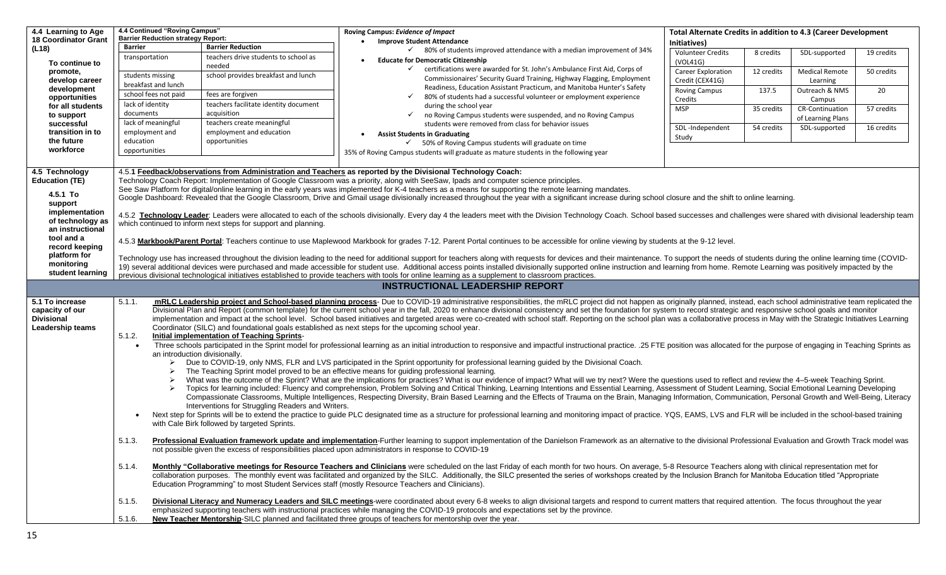| 4.4 Learning to Age<br><b>18 Coordinator Grant</b><br>(L18)<br>To continue to<br>promote,<br>develop career<br>development<br>opportunities<br>for all students<br>to support<br>successful<br>transition in to<br>the future<br>workforce | Barrier<br>transportation<br>lack of identity<br>documents<br>education<br>opportunities                                                                                                                                                                                                                                                                                                                                                                                                                                                                                                                                                                                                                                                                                                                                                                                                                                                                                                                                                                                                                                                                                                                                                                                                                                                                                                                                                                                                                                                                                                                                                                                                                                                                                                                                                                                                                                                                                                                                                                                                                                                                                                                                                                                                                                                                                                                                   | 4.4 Continued "Roving Campus"<br><b>Barrier Reduction strategy Report:</b><br>students missing<br>breakfast and lunch<br>school fees not paid<br>lack of meaningful<br>employment and                                                                                                                                                                                                                                                                                        | <b>Barrier Reduction</b><br>teachers drive students to school as<br>needed<br>school provides breakfast and lunch<br>fees are forgiven<br>teachers facilitate identity document<br>acquisition<br>teachers create meaningful<br>employment and education<br>opportunities | Roving Campus: Evidence of Impact<br><b>Improve Student Attendance</b><br>$\checkmark$ 80% of students improved attendance with a median improvement of 34%<br><b>Educate for Democratic Citizenship</b><br>$\checkmark$<br>certifications were awarded for St. John's Ambulance First Aid, Corps of<br>Commissionaires' Security Guard Training, Highway Flagging, Employment<br>Readiness, Education Assistant Practicum, and Manitoba Hunter's Safety<br>80% of students had a successful volunteer or employment experience<br>$\checkmark$<br>during the school year<br>no Roving Campus students were suspended, and no Roving Campus<br>$\checkmark$<br>students were removed from class for behavior issues<br><b>Assist Students in Graduating</b><br>$\checkmark$ 50% of Roving Campus students will graduate on time<br>35% of Roving Campus students will graduate as mature students in the following year | Total Alternate Credits in addition to 4.3 (Career Development<br>Initiatives)<br><b>Volunteer Credits</b><br>(VOL41G)<br><b>Career Exploration</b><br>Credit (CEX41G)<br><b>Roving Campus</b><br>Credits<br><b>MSP</b><br>SDL-Independent<br>Study | 8 credits<br>12 credits<br>137.5<br>35 credits<br>54 credits | SDL-supported<br><b>Medical Remote</b><br>Learning<br>Outreach & NMS<br>Campus<br><b>CR-Continuation</b><br>of Learning Plans<br>SDL-supported | 19 credits<br>50 credits<br>20<br>57 credits<br>16 credits |
|--------------------------------------------------------------------------------------------------------------------------------------------------------------------------------------------------------------------------------------------|----------------------------------------------------------------------------------------------------------------------------------------------------------------------------------------------------------------------------------------------------------------------------------------------------------------------------------------------------------------------------------------------------------------------------------------------------------------------------------------------------------------------------------------------------------------------------------------------------------------------------------------------------------------------------------------------------------------------------------------------------------------------------------------------------------------------------------------------------------------------------------------------------------------------------------------------------------------------------------------------------------------------------------------------------------------------------------------------------------------------------------------------------------------------------------------------------------------------------------------------------------------------------------------------------------------------------------------------------------------------------------------------------------------------------------------------------------------------------------------------------------------------------------------------------------------------------------------------------------------------------------------------------------------------------------------------------------------------------------------------------------------------------------------------------------------------------------------------------------------------------------------------------------------------------------------------------------------------------------------------------------------------------------------------------------------------------------------------------------------------------------------------------------------------------------------------------------------------------------------------------------------------------------------------------------------------------------------------------------------------------------------------------------------------------|------------------------------------------------------------------------------------------------------------------------------------------------------------------------------------------------------------------------------------------------------------------------------------------------------------------------------------------------------------------------------------------------------------------------------------------------------------------------------|---------------------------------------------------------------------------------------------------------------------------------------------------------------------------------------------------------------------------------------------------------------------------|-------------------------------------------------------------------------------------------------------------------------------------------------------------------------------------------------------------------------------------------------------------------------------------------------------------------------------------------------------------------------------------------------------------------------------------------------------------------------------------------------------------------------------------------------------------------------------------------------------------------------------------------------------------------------------------------------------------------------------------------------------------------------------------------------------------------------------------------------------------------------------------------------------------------------|-----------------------------------------------------------------------------------------------------------------------------------------------------------------------------------------------------------------------------------------------------|--------------------------------------------------------------|------------------------------------------------------------------------------------------------------------------------------------------------|------------------------------------------------------------|
| 4.5 Technology<br><b>Education (TE)</b><br>4.5.1 To<br>support<br>implementation                                                                                                                                                           | 4.5.1 Feedback/observations from Administration and Teachers as reported by the Divisional Technology Coach:<br>Technology Coach Report: Implementation of Google Classroom was a priority, along with SeeSaw, Ipads and computer science principles.<br>See Saw Platform for digital/online learning in the early years was implemented for K-4 teachers as a means for supporting the remote learning mandates.<br>Google Dashboard: Revealed that the Google Classroom, Drive and Gmail usage divisionally increased throughout the year with a significant increase during school closure and the shift to online learning.<br>4.5.2 Technology Leader: Leaders were allocated to each of the schools divisionally. Every day 4 the leaders meet with the Division Technology Coach. School based successes and challenges were shared with divisional leader                                                                                                                                                                                                                                                                                                                                                                                                                                                                                                                                                                                                                                                                                                                                                                                                                                                                                                                                                                                                                                                                                                                                                                                                                                                                                                                                                                                                                                                                                                                                                          |                                                                                                                                                                                                                                                                                                                                                                                                                                                                              |                                                                                                                                                                                                                                                                           |                                                                                                                                                                                                                                                                                                                                                                                                                                                                                                                                                                                                                                                                                                                                                                                                                                                                                                                         |                                                                                                                                                                                                                                                     |                                                              |                                                                                                                                                |                                                            |
| of technology as<br>an instructional<br>tool and a<br>record keeping<br>platform for<br>monitoring<br>student learning                                                                                                                     | which continued to inform next steps for support and planning.<br>4.5.3 Markbook/Parent Portal: Teachers continue to use Maplewood Markbook for grades 7-12. Parent Portal continues to be accessible for online viewing by students at the 9-12 level.<br>Technology use has increased throughout the division leading to the need for additional support for teachers along with requests for devices and their maintenance. To support the needs of students during the online learnin<br>19) several additional devices were purchased and made accessible for student use. Additional access points installed divisionally supported online instruction and learning from home. Remote Learning was positively impacte<br>previous divisional technological initiatives established to provide teachers with tools for online learning as a supplement to classroom practices.                                                                                                                                                                                                                                                                                                                                                                                                                                                                                                                                                                                                                                                                                                                                                                                                                                                                                                                                                                                                                                                                                                                                                                                                                                                                                                                                                                                                                                                                                                                                        |                                                                                                                                                                                                                                                                                                                                                                                                                                                                              |                                                                                                                                                                                                                                                                           |                                                                                                                                                                                                                                                                                                                                                                                                                                                                                                                                                                                                                                                                                                                                                                                                                                                                                                                         |                                                                                                                                                                                                                                                     |                                                              |                                                                                                                                                |                                                            |
|                                                                                                                                                                                                                                            |                                                                                                                                                                                                                                                                                                                                                                                                                                                                                                                                                                                                                                                                                                                                                                                                                                                                                                                                                                                                                                                                                                                                                                                                                                                                                                                                                                                                                                                                                                                                                                                                                                                                                                                                                                                                                                                                                                                                                                                                                                                                                                                                                                                                                                                                                                                                                                                                                            |                                                                                                                                                                                                                                                                                                                                                                                                                                                                              |                                                                                                                                                                                                                                                                           | <b>INSTRUCTIONAL LEADERSHIP REPORT</b>                                                                                                                                                                                                                                                                                                                                                                                                                                                                                                                                                                                                                                                                                                                                                                                                                                                                                  |                                                                                                                                                                                                                                                     |                                                              |                                                                                                                                                |                                                            |
| 5.1 To increase<br>capacity of our<br><b>Divisional</b><br>Leadership teams                                                                                                                                                                | mRLC Leadership project and School-based planning process- Due to COVID-19 administrative responsibilities, the mRLC project did not happen as originally planned, instead, each school administrative team replicated the<br>5.1.1.<br>Divisional Plan and Report (common template) for the current school year in the fall, 2020 to enhance divisional consistency and set the foundation for system to record strategic and responsive school goals and monitor<br>implementation and impact at the school level. School based initiatives and targeted areas were co-created with school staff. Reporting on the school plan was a collaborative process in May with the Strategic Initiatives L<br>Coordinator (SILC) and foundational goals established as next steps for the upcoming school year.<br>5.1.2.<br>Initial implementation of Teaching Sprints-<br>$\bullet$<br>Three schools participated in the Sprint model for professional learning as an initial introduction to responsive and impactful instructional practice. .25 FTE position was allocated for the purpose of engaging in Teaching<br>an introduction divisionally.<br>Due to COVID-19, only NMS, FLR and LVS participated in the Sprint opportunity for professional learning guided by the Divisional Coach.<br>The Teaching Sprint model proved to be an effective means for guiding professional learning.<br>What was the outcome of the Sprint? What are the implications for practices? What is our evidence of impact? What will we try next? Were the questions used to reflect and review the 4-5-week Teaching Sprint.<br>Topics for learning included: Fluency and comprehension, Problem Solving and Critical Thinking, Learning Intentions and Essential Learning, Assessment of Student Learning, Social Emotional Learning Developing<br>$\blacktriangleright$<br>Compassionate Classrooms, Multiple Intelligences, Respecting Diversity, Brain Based Learning and the Effects of Trauma on the Brain, Managing Information, Communication, Personal Growth and Well-Being, Literacy<br>Interventions for Struggling Readers and Writers.<br>Next step for Sprints will be to extend the practice to guide PLC designated time as a structure for professional learning and monitoring impact of practice. YQS, EAMS, LVS and FLR will be included in the school-based trai<br>with Cale Birk followed by targeted Sprints. |                                                                                                                                                                                                                                                                                                                                                                                                                                                                              |                                                                                                                                                                                                                                                                           |                                                                                                                                                                                                                                                                                                                                                                                                                                                                                                                                                                                                                                                                                                                                                                                                                                                                                                                         |                                                                                                                                                                                                                                                     |                                                              |                                                                                                                                                |                                                            |
|                                                                                                                                                                                                                                            | 5.1.3.<br>5.1.4.<br>5.1.5.                                                                                                                                                                                                                                                                                                                                                                                                                                                                                                                                                                                                                                                                                                                                                                                                                                                                                                                                                                                                                                                                                                                                                                                                                                                                                                                                                                                                                                                                                                                                                                                                                                                                                                                                                                                                                                                                                                                                                                                                                                                                                                                                                                                                                                                                                                                                                                                                 |                                                                                                                                                                                                                                                                                                                                                                                                                                                                              |                                                                                                                                                                                                                                                                           | Professional Evaluation framework update and implementation-Further learning to support implementation of the Danielson Framework as an alternative to the divisional Professional Evaluation and Growth Track model was<br>not possible given the excess of responsibilities placed upon administrators in response to COVID-19<br>Monthly "Collaborative meetings for Resource Teachers and Clinicians were scheduled on the last Friday of each month for two hours. On average, 5-8 Resource Teachers along with clinical representation met for<br>collaboration purposes. The monthly event was facilitated and organized by the SILC. Additionally, the SILC presented the series of workshops created by the Inclusion Branch for Manitoba Education titled "Appropriate<br>Education Programming" to most Student Services staff (mostly Resource Teachers and Clinicians).                                    |                                                                                                                                                                                                                                                     |                                                              |                                                                                                                                                |                                                            |
|                                                                                                                                                                                                                                            | 5.1.6.                                                                                                                                                                                                                                                                                                                                                                                                                                                                                                                                                                                                                                                                                                                                                                                                                                                                                                                                                                                                                                                                                                                                                                                                                                                                                                                                                                                                                                                                                                                                                                                                                                                                                                                                                                                                                                                                                                                                                                                                                                                                                                                                                                                                                                                                                                                                                                                                                     | Divisional Literacy and Numeracy Leaders and SILC meetings-were coordinated about every 6-8 weeks to align divisional targets and respond to current matters that required attention. The focus throughout the year<br>emphasized supporting teachers with instructional practices while managing the COVID-19 protocols and expectations set by the province.<br>New Teacher Mentorship-SILC planned and facilitated three groups of teachers for mentorship over the year. |                                                                                                                                                                                                                                                                           |                                                                                                                                                                                                                                                                                                                                                                                                                                                                                                                                                                                                                                                                                                                                                                                                                                                                                                                         |                                                                                                                                                                                                                                                     |                                                              |                                                                                                                                                |                                                            |